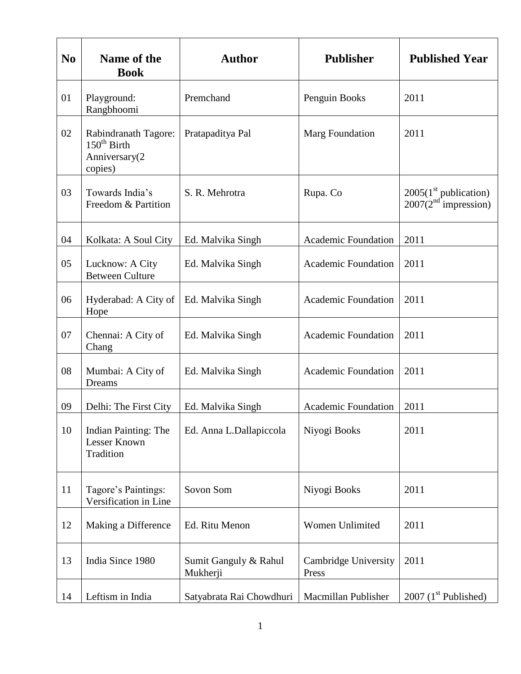| N <sub>0</sub> | Name of the<br><b>Book</b>                                                  | <b>Author</b>                     | <b>Publisher</b>              | <b>Published Year</b>                             |
|----------------|-----------------------------------------------------------------------------|-----------------------------------|-------------------------------|---------------------------------------------------|
| 01             | Playground:<br>Rangbhoomi                                                   | Premchand                         | Penguin Books                 | 2011                                              |
| 02             | Rabindranath Tagore:<br>$150^{\text{th}}$ Birth<br>Anniversary(2<br>copies) | Pratapaditya Pal                  | Marg Foundation               | 2011                                              |
| 03             | Towards India's<br>Freedom & Partition                                      | S. R. Mehrotra                    | Rupa. Co                      | $2005(1st$ publication)<br>$2007(2nd$ impression) |
| 04             | Kolkata: A Soul City                                                        | Ed. Malvika Singh                 | <b>Academic Foundation</b>    | 2011                                              |
| 05             | Lucknow: A City<br><b>Between Culture</b>                                   | Ed. Malvika Singh                 | <b>Academic Foundation</b>    | 2011                                              |
| 06             | Hyderabad: A City of<br>Hope                                                | Ed. Malvika Singh                 | <b>Academic Foundation</b>    | 2011                                              |
| 07             | Chennai: A City of<br>Chang                                                 | Ed. Malvika Singh                 | <b>Academic Foundation</b>    | 2011                                              |
| 08             | Mumbai: A City of<br>Dreams                                                 | Ed. Malvika Singh                 | <b>Academic Foundation</b>    | 2011                                              |
| 09             | Delhi: The First City                                                       | Ed. Malvika Singh                 | <b>Academic Foundation</b>    | 2011                                              |
| 10             | <b>Indian Painting: The</b><br><b>Lesser Known</b><br>Tradition             | Ed. Anna L.Dallapiccola           | Niyogi Books                  | 2011                                              |
| 11             | Tagore's Paintings:<br>Versification in Line                                | Sovon Som                         | Niyogi Books                  | 2011                                              |
| 12             | Making a Difference                                                         | Ed. Ritu Menon                    | Women Unlimited               | 2011                                              |
| 13             | India Since 1980                                                            | Sumit Ganguly & Rahul<br>Mukherji | Cambridge University<br>Press | 2011                                              |
| 14             | Leftism in India                                                            | Satyabrata Rai Chowdhuri          | Macmillan Publisher           | 2007 $(1st$ Published)                            |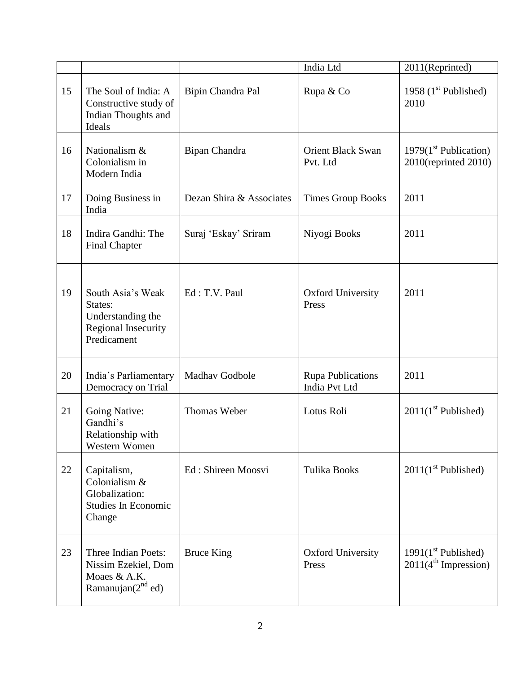|    |                                                                                                |                          | India Ltd                                 | 2011(Reprinted)                                           |
|----|------------------------------------------------------------------------------------------------|--------------------------|-------------------------------------------|-----------------------------------------------------------|
| 15 | The Soul of India: A<br>Constructive study of<br>Indian Thoughts and<br>Ideals                 | Bipin Chandra Pal        | Rupa & Co                                 | 1958 $(1st$ Published)<br>2010                            |
| 16 | Nationalism &<br>Colonialism in<br>Modern India                                                | Bipan Chandra            | <b>Orient Black Swan</b><br>Pvt. Ltd      | 1979 $(1st$ Publication)<br>$2010$ (reprinted $2010$ )    |
| 17 | Doing Business in<br>India                                                                     | Dezan Shira & Associates | <b>Times Group Books</b>                  | 2011                                                      |
| 18 | Indira Gandhi: The<br><b>Final Chapter</b>                                                     | Suraj 'Eskay' Sriram     | Niyogi Books                              | 2011                                                      |
| 19 | South Asia's Weak<br>States:<br>Understanding the<br><b>Regional Insecurity</b><br>Predicament | Ed: T.V. Paul            | <b>Oxford University</b><br>Press         | 2011                                                      |
| 20 | India's Parliamentary<br>Democracy on Trial                                                    | Madhav Godbole           | <b>Rupa Publications</b><br>India Pvt Ltd | 2011                                                      |
| 21 | Going Native:<br>Gandhi's<br>Relationship with<br>Western Women                                | <b>Thomas Weber</b>      | Lotus Roli                                | $2011(1st$ Published)                                     |
| 22 | Capitalism,<br>Colonialism &<br>Globalization:<br>Studies In Economic<br>Change                | Ed: Shireen Moosvi       | <b>Tulika Books</b>                       | $2011(1st$ Published)                                     |
| 23 | Three Indian Poets:<br>Nissim Ezekiel, Dom<br>Moaes & A.K.<br>Ramanujan $(2^{nd}$ ed)          | <b>Bruce King</b>        | <b>Oxford University</b><br>Press         | $1991(1st$ Published)<br>2011(4 <sup>th</sup> Impression) |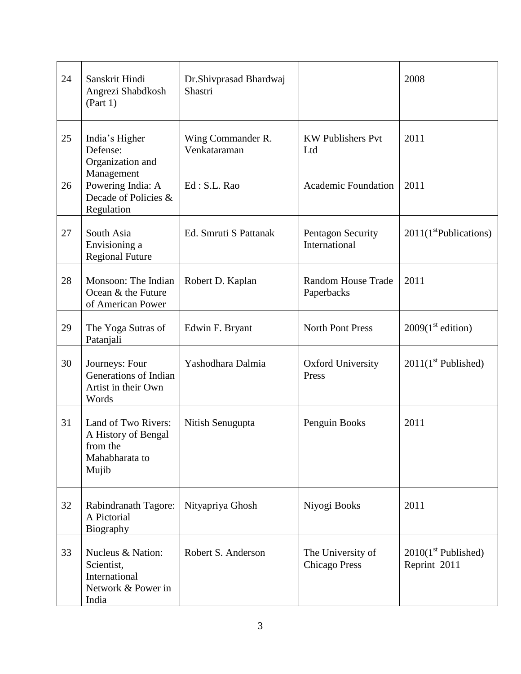| 24 | Sanskrit Hindi<br>Angrezi Shabdkosh<br>(Part 1)                                   | Dr.Shivprasad Bhardwaj<br>Shastri |                                           | 2008                                  |
|----|-----------------------------------------------------------------------------------|-----------------------------------|-------------------------------------------|---------------------------------------|
| 25 | India's Higher<br>Defense:<br>Organization and<br>Management                      | Wing Commander R.<br>Venkataraman | <b>KW Publishers Pvt</b><br>Ltd           | 2011                                  |
| 26 | Powering India: A<br>Decade of Policies &<br>Regulation                           | Ed: S.L. Rao                      | <b>Academic Foundation</b>                | 2011                                  |
| 27 | South Asia<br>Envisioning a<br><b>Regional Future</b>                             | Ed. Smruti S Pattanak             | Pentagon Security<br>International        | 2011(1 <sup>st</sup> Publications)    |
| 28 | Monsoon: The Indian<br>Ocean & the Future<br>of American Power                    | Robert D. Kaplan                  | <b>Random House Trade</b><br>Paperbacks   | 2011                                  |
| 29 | The Yoga Sutras of<br>Patanjali                                                   | Edwin F. Bryant                   | <b>North Pont Press</b>                   | 2009(1 <sup>st</sup> edition)         |
| 30 | Journeys: Four<br>Generations of Indian<br>Artist in their Own<br>Words           | Yashodhara Dalmia                 | <b>Oxford University</b><br>Press         | $2011(1st$ Published)                 |
| 31 | Land of Two Rivers:<br>A History of Bengal<br>from the<br>Mahabharata to<br>Mujib | Nitish Senugupta                  | Penguin Books                             | 2011                                  |
| 32 | Rabindranath Tagore:<br>A Pictorial<br>Biography                                  | Nityapriya Ghosh                  | Niyogi Books                              | 2011                                  |
| 33 | Nucleus & Nation:<br>Scientist,<br>International<br>Network & Power in<br>India   | Robert S. Anderson                | The University of<br><b>Chicago Press</b> | $2010(1st$ Published)<br>Reprint 2011 |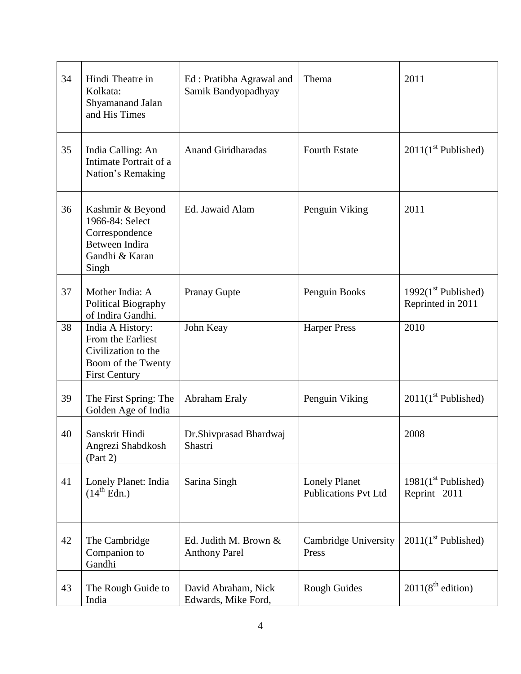| 34 | Hindi Theatre in<br>Kolkata:<br>Shyamanand Jalan<br>and His Times                                          | Ed: Pratibha Agrawal and<br>Samik Bandyopadhyay | Thema                                               | 2011                                        |
|----|------------------------------------------------------------------------------------------------------------|-------------------------------------------------|-----------------------------------------------------|---------------------------------------------|
| 35 | India Calling: An<br>Intimate Portrait of a<br>Nation's Remaking                                           | <b>Anand Giridharadas</b>                       | <b>Fourth Estate</b>                                | $2011(1st$ Published)                       |
| 36 | Kashmir & Beyond<br>1966-84: Select<br>Correspondence<br>Between Indira<br>Gandhi & Karan<br>Singh         | Ed. Jawaid Alam                                 | Penguin Viking                                      | 2011                                        |
| 37 | Mother India: A<br>Political Biography<br>of Indira Gandhi.                                                | <b>Pranay Gupte</b>                             | Penguin Books                                       | 1992 $(1st$ Published)<br>Reprinted in 2011 |
| 38 | India A History:<br>From the Earliest<br>Civilization to the<br>Boom of the Twenty<br><b>First Century</b> | John Keay                                       | <b>Harper Press</b>                                 | 2010                                        |
| 39 | The First Spring: The<br>Golden Age of India                                                               | Abraham Eraly                                   | Penguin Viking                                      | $2011(1st$ Published)                       |
| 40 | Sanskrit Hindi<br>Angrezi Shabdkosh<br>(Part 2)                                                            | Dr.Shivprasad Bhardwaj<br>Shastri               |                                                     | 2008                                        |
| 41 | Lonely Planet: India<br>$(14^{\text{th}}$ Edn.)                                                            | Sarina Singh                                    | <b>Lonely Planet</b><br><b>Publications Pvt Ltd</b> | $1981(1st$ Published)<br>Reprint 2011       |
| 42 | The Cambridge<br>Companion to<br>Gandhi                                                                    | Ed. Judith M. Brown &<br><b>Anthony Parel</b>   | Cambridge University<br>Press                       | $2011(1st$ Published)                       |
| 43 | The Rough Guide to<br>India                                                                                | David Abraham, Nick<br>Edwards, Mike Ford,      | <b>Rough Guides</b>                                 | 2011(8 <sup>th</sup> edition)               |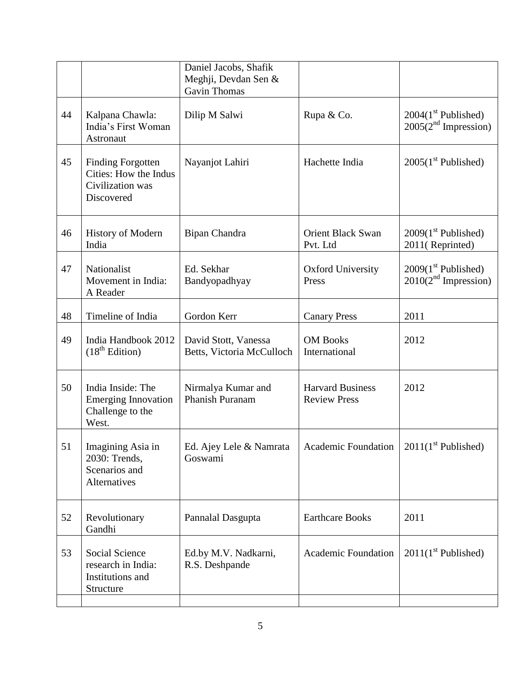|    |                                                                                     | Daniel Jacobs, Shafik<br>Meghji, Devdan Sen &<br><b>Gavin Thomas</b> |                                                |                                                 |
|----|-------------------------------------------------------------------------------------|----------------------------------------------------------------------|------------------------------------------------|-------------------------------------------------|
| 44 | Kalpana Chawla:<br>India's First Woman<br>Astronaut                                 | Dilip M Salwi                                                        | Rupa & Co.                                     | $2004(1st$ Published)<br>$2005(2nd$ Impression) |
| 45 | <b>Finding Forgotten</b><br>Cities: How the Indus<br>Civilization was<br>Discovered | Nayanjot Lahiri                                                      | Hachette India                                 | $2005(1st$ Published)                           |
| 46 | <b>History of Modern</b><br>India                                                   | Bipan Chandra                                                        | <b>Orient Black Swan</b><br>Pvt. Ltd           | $2009(1st$ Published)<br>2011(Reprinted)        |
| 47 | Nationalist<br>Movement in India:<br>A Reader                                       | Ed. Sekhar<br>Bandyopadhyay                                          | <b>Oxford University</b><br>Press              | $2009(1st$ Published)<br>$2010(2nd$ Impression) |
| 48 | Timeline of India                                                                   | Gordon Kerr                                                          | <b>Canary Press</b>                            | 2011                                            |
| 49 | India Handbook 2012<br>(18 <sup>th</sup> Edition)                                   | David Stott, Vanessa<br>Betts, Victoria McCulloch                    | <b>OM Books</b><br>International               | 2012                                            |
| 50 | India Inside: The<br><b>Emerging Innovation</b><br>Challenge to the<br>West.        | Nirmalya Kumar and<br><b>Phanish Puranam</b>                         | <b>Harvard Business</b><br><b>Review Press</b> | 2012                                            |
| 51 | Imagining Asia in<br>2030: Trends,<br>Scenarios and<br>Alternatives                 | Ed. Ajey Lele & Namrata<br>Goswami                                   | <b>Academic Foundation</b>                     | $2011(1st$ Published)                           |
| 52 | Revolutionary<br>Gandhi                                                             | Pannalal Dasgupta                                                    | <b>Earthcare Books</b>                         | 2011                                            |
| 53 | <b>Social Science</b><br>research in India:<br>Institutions and<br>Structure        | Ed.by M.V. Nadkarni,<br>R.S. Deshpande                               | <b>Academic Foundation</b>                     | $2011(1st$ Published)                           |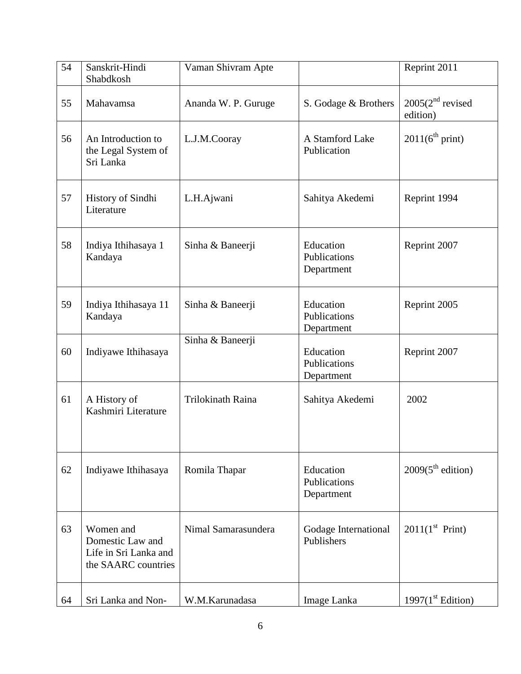| 54 | Sanskrit-Hindi<br>Shabdkosh                                                   | Vaman Shivram Apte       |                                         | Reprint 2011                   |
|----|-------------------------------------------------------------------------------|--------------------------|-----------------------------------------|--------------------------------|
| 55 | Mahavamsa                                                                     | Ananda W. P. Guruge      | S. Godage & Brothers                    | $2005(2nd$ revised<br>edition) |
| 56 | An Introduction to<br>the Legal System of<br>Sri Lanka                        | L.J.M.Cooray             | A Stamford Lake<br>Publication          | 2011(6 <sup>th</sup> print)    |
| 57 | History of Sindhi<br>Literature                                               | L.H.Ajwani               | Sahitya Akedemi                         | Reprint 1994                   |
| 58 | Indiya Ithihasaya 1<br>Kandaya                                                | Sinha & Baneerji         | Education<br>Publications<br>Department | Reprint 2007                   |
| 59 | Indiya Ithihasaya 11<br>Kandaya                                               | Sinha & Baneerji         | Education<br>Publications<br>Department | Reprint 2005                   |
| 60 | Indiyawe Ithihasaya                                                           | Sinha & Baneerji         | Education<br>Publications<br>Department | Reprint 2007                   |
| 61 | A History of<br>Kashmiri Literature                                           | <b>Trilokinath Raina</b> | Sahitya Akedemi                         | 2002                           |
| 62 | Indiyawe Ithihasaya                                                           | Romila Thapar            | Education<br>Publications<br>Department | 2009(5 <sup>th</sup> edition)  |
| 63 | Women and<br>Domestic Law and<br>Life in Sri Lanka and<br>the SAARC countries | Nimal Samarasundera      | Godage International<br>Publishers      | $2011(1^{st}$ Print)           |
| 64 | Sri Lanka and Non-                                                            | W.M.Karunadasa           | Image Lanka                             | 1997(1 <sup>st</sup> Edition)  |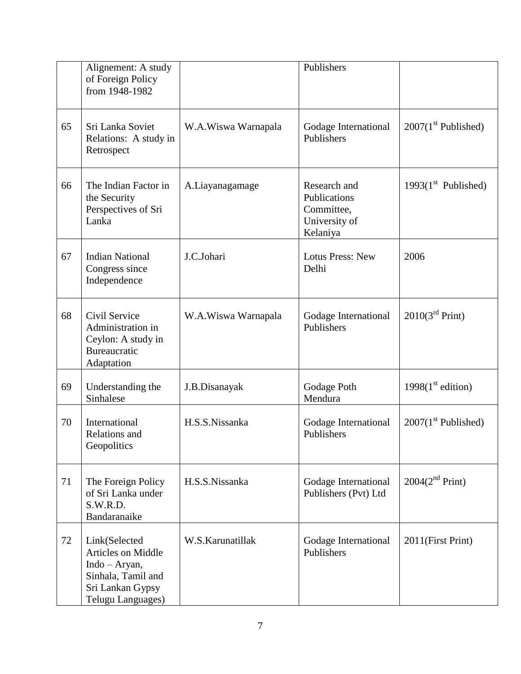|    | Alignement: A study<br>of Foreign Policy<br>from 1948-1982                                                                 |                     | Publishers                                                              |                             |
|----|----------------------------------------------------------------------------------------------------------------------------|---------------------|-------------------------------------------------------------------------|-----------------------------|
| 65 | Sri Lanka Soviet<br>Relations: A study in<br>Retrospect                                                                    | W.A.Wiswa Warnapala | Godage International<br>Publishers                                      | $2007(1st$ Published)       |
| 66 | The Indian Factor in<br>the Security<br>Perspectives of Sri<br>Lanka                                                       | A.Liayanagamage     | Research and<br>Publications<br>Committee,<br>University of<br>Kelaniya | 1993 $(1st$ Published)      |
| 67 | <b>Indian National</b><br>Congress since<br>Independence                                                                   | J.C.Johari          | <b>Lotus Press: New</b><br>Delhi                                        | 2006                        |
| 68 | Civil Service<br>Administration in<br>Ceylon: A study in<br><b>Bureaucratic</b><br>Adaptation                              | W.A.Wiswa Warnapala | Godage International<br>Publishers                                      | 2010(3 <sup>rd</sup> Print) |
| 69 | Understanding the<br>Sinhalese                                                                                             | J.B.Disanayak       | Godage Poth<br>Mendura                                                  | 1998 $(1st$ edition)        |
| 70 | International<br>Relations and<br>Geopolitics                                                                              | H.S.S.Nissanka      | Godage International<br>Publishers                                      | $2007(1st$ Published)       |
| 71 | The Foreign Policy<br>of Sri Lanka under<br>S.W.R.D.<br>Bandaranaike                                                       | H.S.S.Nissanka      | Godage International<br>Publishers (Pvt) Ltd                            | 2004(2 <sup>nd</sup> Print) |
| 72 | Link(Selected<br><b>Articles on Middle</b><br>Indo - Aryan,<br>Sinhala, Tamil and<br>Sri Lankan Gypsy<br>Telugu Languages) | W.S.Karunatillak    | Godage International<br>Publishers                                      | 2011(First Print)           |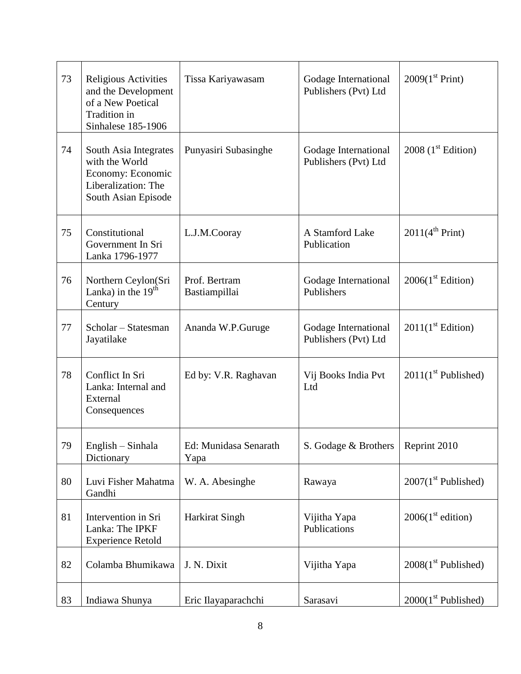| 73 | Religious Activities<br>and the Development<br>of a New Poetical<br>Tradition in<br>Sinhalese 185-1906     | Tissa Kariyawasam              | Godage International<br>Publishers (Pvt) Ltd | 2009(1 <sup>st</sup> Print)         |
|----|------------------------------------------------------------------------------------------------------------|--------------------------------|----------------------------------------------|-------------------------------------|
| 74 | South Asia Integrates<br>with the World<br>Economy: Economic<br>Liberalization: The<br>South Asian Episode | Punyasiri Subasinghe           | Godage International<br>Publishers (Pvt) Ltd | 2008 $(1st Edition)$                |
| 75 | Constitutional<br>Government In Sri<br>Lanka 1796-1977                                                     | L.J.M.Cooray                   | A Stamford Lake<br>Publication               | $2011(4^{\text{th}} \text{ Print})$ |
| 76 | Northern Ceylon(Sri<br>Lanka) in the $19th$<br>Century                                                     | Prof. Bertram<br>Bastiampillai | Godage International<br>Publishers           | 2006(1 <sup>st</sup> Edition)       |
| 77 | Scholar - Statesman<br>Jayatilake                                                                          | Ananda W.P.Guruge              | Godage International<br>Publishers (Pvt) Ltd | 2011(1 <sup>st</sup> Edition)       |
| 78 | Conflict In Sri<br>Lanka: Internal and<br>External<br>Consequences                                         | Ed by: V.R. Raghavan           | Vij Books India Pvt<br>Ltd                   | $2011(1st$ Published)               |
| 79 | English – Sinhala<br>Dictionary                                                                            | Ed: Munidasa Senarath<br>Yapa  | S. Godage & Brothers                         | Reprint 2010                        |
| 80 | Luvi Fisher Mahatma<br>Gandhi                                                                              | W. A. Abesinghe                | Rawaya                                       | $2007(1st$ Published)               |
| 81 | Intervention in Sri<br>Lanka: The IPKF<br><b>Experience Retold</b>                                         | <b>Harkirat Singh</b>          | Vijitha Yapa<br>Publications                 | 2006(1 <sup>st</sup> edition)       |
| 82 | Colamba Bhumikawa                                                                                          | J. N. Dixit                    | Vijitha Yapa                                 | $2008(1st$ Published)               |
| 83 | Indiawa Shunya                                                                                             | Eric Ilayaparachchi            | Sarasavi                                     | $2000(1st$ Published)               |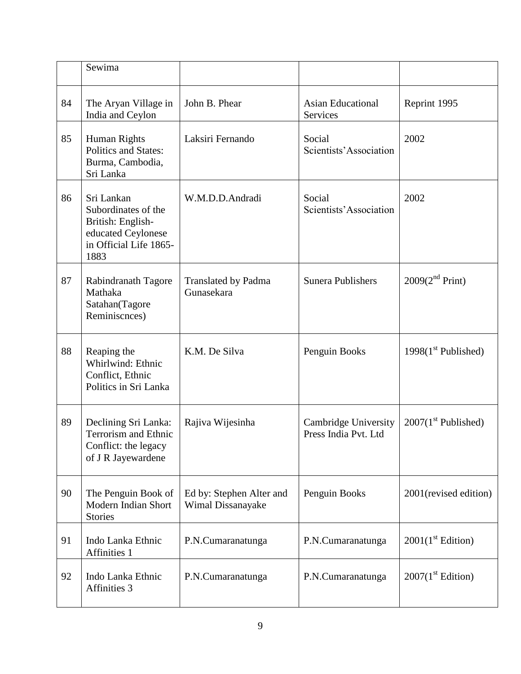|    | Sewima                                                                                                         |                                               |                                              |                               |
|----|----------------------------------------------------------------------------------------------------------------|-----------------------------------------------|----------------------------------------------|-------------------------------|
| 84 | The Aryan Village in<br>India and Ceylon                                                                       | John B. Phear                                 | <b>Asian Educational</b><br>Services         | Reprint 1995                  |
| 85 | Human Rights<br><b>Politics and States:</b><br>Burma, Cambodia,<br>Sri Lanka                                   | Laksiri Fernando                              | Social<br>Scientists' Association            | 2002                          |
| 86 | Sri Lankan<br>Subordinates of the<br>British: English-<br>educated Ceylonese<br>in Official Life 1865-<br>1883 | W.M.D.D.Andradi                               | Social<br>Scientists' Association            | 2002                          |
| 87 | Rabindranath Tagore<br>Mathaka<br>Satahan(Tagore<br>Reminiscnces)                                              | <b>Translated by Padma</b><br>Gunasekara      | <b>Sunera Publishers</b>                     | 2009(2 <sup>nd</sup> Print)   |
| 88 | Reaping the<br>Whirlwind: Ethnic<br>Conflict, Ethnic<br>Politics in Sri Lanka                                  | K.M. De Silva                                 | Penguin Books                                | 1998 $(1st$ Published)        |
| 89 | Declining Sri Lanka:<br><b>Terrorism and Ethnic</b><br>Conflict: the legacy<br>of J R Jayewardene              | Rajiva Wijesinha                              | Cambridge University<br>Press India Pvt. Ltd | $2007(1st$ Published)         |
| 90 | The Penguin Book of<br>Modern Indian Short<br><b>Stories</b>                                                   | Ed by: Stephen Alter and<br>Wimal Dissanayake | Penguin Books                                | 2001(revised edition)         |
| 91 | Indo Lanka Ethnic<br>Affinities 1                                                                              | P.N.Cumaranatunga                             | P.N.Cumaranatunga                            | 2001(1 <sup>st</sup> Edition) |
| 92 | Indo Lanka Ethnic<br>Affinities 3                                                                              | P.N.Cumaranatunga                             | P.N.Cumaranatunga                            | 2007(1 <sup>st</sup> Edition) |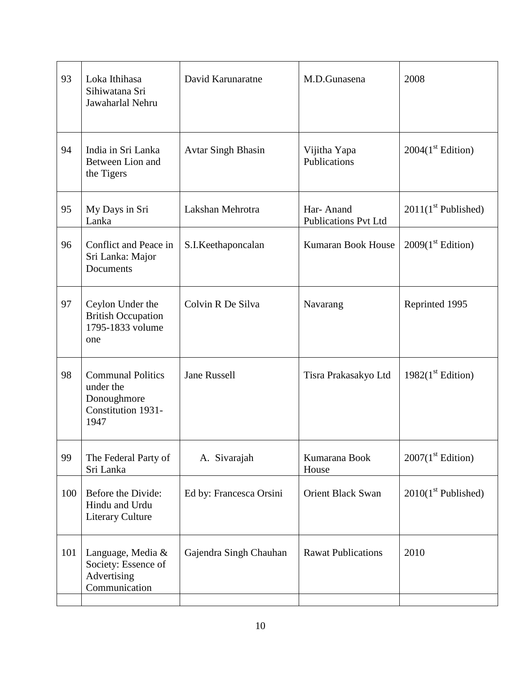| 93  | Loka Ithihasa<br>Sihiwatana Sri<br>Jawaharlal Nehru                                | David Karunaratne         | M.D.Gunasena                             | 2008                          |
|-----|------------------------------------------------------------------------------------|---------------------------|------------------------------------------|-------------------------------|
|     |                                                                                    |                           |                                          |                               |
| 94  | India in Sri Lanka<br>Between Lion and<br>the Tigers                               | <b>Avtar Singh Bhasin</b> | Vijitha Yapa<br>Publications             | 2004(1 <sup>st</sup> Edition) |
| 95  | My Days in Sri<br>Lanka                                                            | Lakshan Mehrotra          | Har-Anand<br><b>Publications Pvt Ltd</b> | $2011(1st$ Published)         |
| 96  | Conflict and Peace in<br>Sri Lanka: Major<br>Documents                             | S.I.Keethaponcalan        | Kumaran Book House                       | 2009(1 <sup>st</sup> Edition) |
| 97  | Ceylon Under the<br><b>British Occupation</b><br>1795-1833 volume<br>one           | Colvin R De Silva         | Navarang                                 | Reprinted 1995                |
| 98  | <b>Communal Politics</b><br>under the<br>Donoughmore<br>Constitution 1931-<br>1947 | <b>Jane Russell</b>       | Tisra Prakasakyo Ltd                     | 1982(1 <sup>st</sup> Edition) |
| 99  | The Federal Party of<br>Sri Lanka                                                  | A. Sivarajah              | Kumarana Book<br>House                   | 2007(1 <sup>st</sup> Edition) |
| 100 | Before the Divide:<br>Hindu and Urdu<br><b>Literary Culture</b>                    | Ed by: Francesca Orsini   | <b>Orient Black Swan</b>                 | $2010(1st$ Published)         |
| 101 | Language, Media &<br>Society: Essence of<br>Advertising<br>Communication           | Gajendra Singh Chauhan    | <b>Rawat Publications</b>                | 2010                          |
|     |                                                                                    |                           |                                          |                               |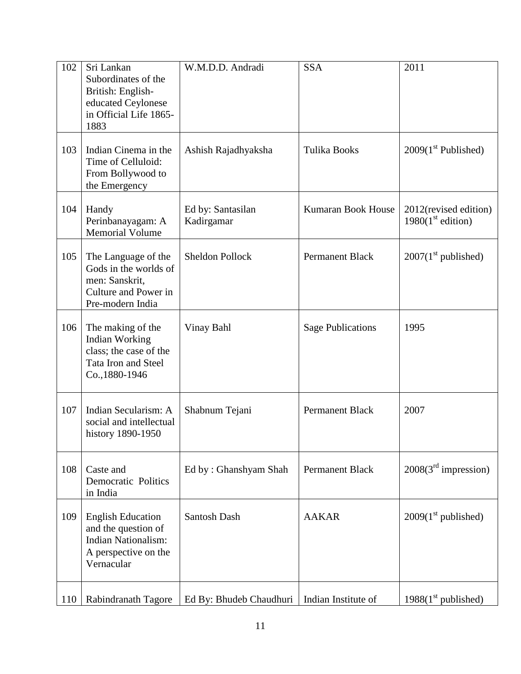| 102 | Sri Lankan<br>Subordinates of the<br>British: English-<br>educated Ceylonese<br>in Official Life 1865-<br>1883      | W.M.D.D. Andradi                | <b>SSA</b>                | 2011                                          |
|-----|---------------------------------------------------------------------------------------------------------------------|---------------------------------|---------------------------|-----------------------------------------------|
| 103 | Indian Cinema in the<br>Time of Celluloid:<br>From Bollywood to<br>the Emergency                                    | Ashish Rajadhyaksha             | <b>Tulika Books</b>       | $2009(1st$ Published)                         |
| 104 | Handy<br>Perinbanayagam: A<br><b>Memorial Volume</b>                                                                | Ed by: Santasilan<br>Kadirgamar | <b>Kumaran Book House</b> | 2012(revised edition)<br>1980 $(1st$ edition) |
| 105 | The Language of the<br>Gods in the worlds of<br>men: Sanskrit,<br>Culture and Power in<br>Pre-modern India          | <b>Sheldon Pollock</b>          | <b>Permanent Black</b>    | $2007(1st$ published)                         |
| 106 | The making of the<br>Indian Working<br>class; the case of the<br>Tata Iron and Steel<br>Co., 1880-1946              | Vinay Bahl                      | <b>Sage Publications</b>  | 1995                                          |
| 107 | Indian Secularism: A<br>social and intellectual<br>history 1890-1950                                                | Shabnum Tejani                  | <b>Permanent Black</b>    | 2007                                          |
| 108 | Caste and<br><b>Democratic Politics</b><br>in India                                                                 | Ed by: Ghanshyam Shah           | Permanent Black           | 2008(3 <sup>rd</sup> impression)              |
| 109 | <b>English Education</b><br>and the question of<br><b>Indian Nationalism:</b><br>A perspective on the<br>Vernacular | Santosh Dash                    | <b>AAKAR</b>              | $2009(1st$ published)                         |
| 110 | Rabindranath Tagore                                                                                                 | Ed By: Bhudeb Chaudhuri         | Indian Institute of       | $1988(1st$ published)                         |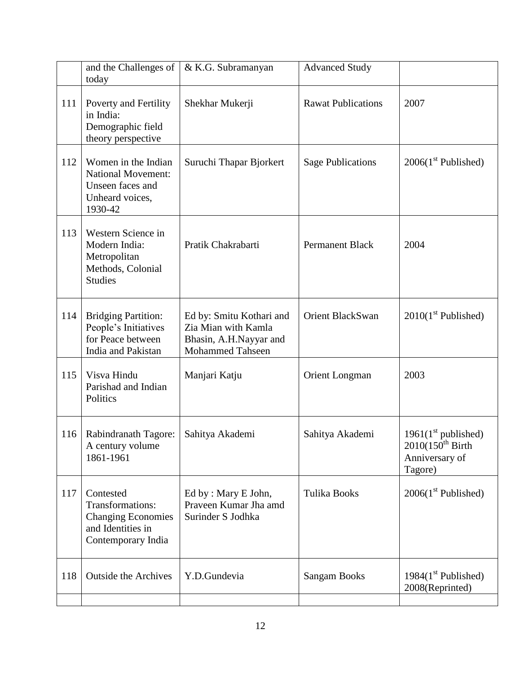|     | and the Challenges of<br>today                                                                        | & K.G. Subramanyan                                                                                   | <b>Advanced Study</b>     |                                                                             |
|-----|-------------------------------------------------------------------------------------------------------|------------------------------------------------------------------------------------------------------|---------------------------|-----------------------------------------------------------------------------|
| 111 | Poverty and Fertility<br>in India:<br>Demographic field<br>theory perspective                         | Shekhar Mukerji                                                                                      | <b>Rawat Publications</b> | 2007                                                                        |
| 112 | Women in the Indian<br><b>National Movement:</b><br>Unseen faces and<br>Unheard voices,<br>1930-42    | Suruchi Thapar Bjorkert                                                                              | <b>Sage Publications</b>  | $2006(1st$ Published)                                                       |
| 113 | Western Science in<br>Modern India:<br>Metropolitan<br>Methods, Colonial<br><b>Studies</b>            | Pratik Chakrabarti                                                                                   | <b>Permanent Black</b>    | 2004                                                                        |
| 114 | <b>Bridging Partition:</b><br>People's Initiatives<br>for Peace between<br>India and Pakistan         | Ed by: Smitu Kothari and<br>Zia Mian with Kamla<br>Bhasin, A.H.Nayyar and<br><b>Mohammed Tahseen</b> | Orient BlackSwan          | $2010(1st$ Published)                                                       |
| 115 | Visva Hindu<br>Parishad and Indian<br>Politics                                                        | Manjari Katju                                                                                        | Orient Longman            | 2003                                                                        |
| 116 | Rabindranath Tagore:<br>A century volume<br>1861-1961                                                 | Sahitya Akademi                                                                                      | Sahitya Akademi           | $1961(1st$ published)<br>$2010(150^{th}$ Birth<br>Anniversary of<br>Tagore) |
| 117 | Contested<br>Transformations:<br><b>Changing Economies</b><br>and Identities in<br>Contemporary India | Ed by: Mary E John,<br>Praveen Kumar Jha amd<br>Surinder S Jodhka                                    | <b>Tulika Books</b>       | $2006(1st$ Published)                                                       |
| 118 | <b>Outside the Archives</b>                                                                           | Y.D.Gundevia                                                                                         | <b>Sangam Books</b>       | 1984 $(1st$ Published)<br>2008(Reprinted)                                   |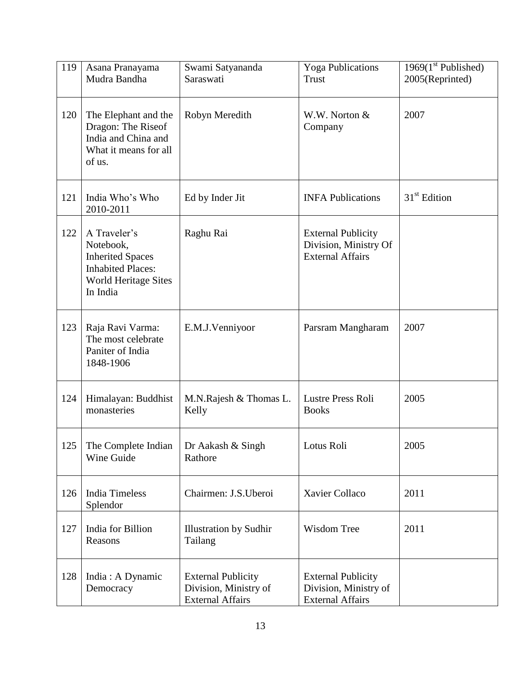| 119 | Asana Pranayama<br>Mudra Bandha                                                                                      | Swami Satyananda<br>Saraswati                                                 | <b>Yoga Publications</b><br><b>Trust</b>                                      | 1969 $(1st$ Published)<br>2005(Reprinted) |
|-----|----------------------------------------------------------------------------------------------------------------------|-------------------------------------------------------------------------------|-------------------------------------------------------------------------------|-------------------------------------------|
| 120 | The Elephant and the<br>Dragon: The Riseof<br>India and China and<br>What it means for all<br>of us.                 | Robyn Meredith                                                                | W.W. Norton &<br>Company                                                      | 2007                                      |
| 121 | India Who's Who<br>2010-2011                                                                                         | Ed by Inder Jit                                                               | <b>INFA Publications</b>                                                      | $31st$ Edition                            |
| 122 | A Traveler's<br>Notebook,<br><b>Inherited Spaces</b><br><b>Inhabited Places:</b><br>World Heritage Sites<br>In India | Raghu Rai                                                                     | <b>External Publicity</b><br>Division, Ministry Of<br><b>External Affairs</b> |                                           |
| 123 | Raja Ravi Varma:<br>The most celebrate<br>Paniter of India<br>1848-1906                                              | E.M.J.Venniyoor                                                               | Parsram Mangharam                                                             | 2007                                      |
| 124 | Himalayan: Buddhist<br>monasteries                                                                                   | M.N.Rajesh & Thomas L.<br>Kelly                                               | <b>Lustre Press Roli</b><br><b>Books</b>                                      | 2005                                      |
| 125 | The Complete Indian<br>Wine Guide                                                                                    | Dr Aakash & Singh<br>Rathore                                                  | Lotus Roli                                                                    | 2005                                      |
| 126 | <b>India Timeless</b><br>Splendor                                                                                    | Chairmen: J.S.Uberoi                                                          | Xavier Collaco                                                                | 2011                                      |
| 127 | India for Billion<br>Reasons                                                                                         | <b>Illustration by Sudhir</b><br>Tailang                                      | Wisdom Tree                                                                   | 2011                                      |
| 128 | India: A Dynamic<br>Democracy                                                                                        | <b>External Publicity</b><br>Division, Ministry of<br><b>External Affairs</b> | <b>External Publicity</b><br>Division, Ministry of<br><b>External Affairs</b> |                                           |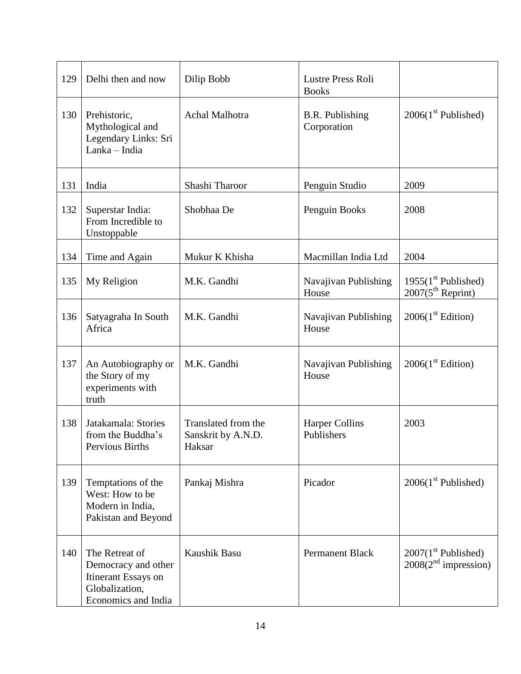| 129 | Delhi then and now                                                                                    | Dilip Bobb                                          | Lustre Press Roli<br><b>Books</b>     |                                                           |
|-----|-------------------------------------------------------------------------------------------------------|-----------------------------------------------------|---------------------------------------|-----------------------------------------------------------|
| 130 | Prehistoric,<br>Mythological and<br>Legendary Links: Sri<br>Lanka - India                             | <b>Achal Malhotra</b>                               | <b>B.R.</b> Publishing<br>Corporation | $2006(1st$ Published)                                     |
| 131 | India                                                                                                 | Shashi Tharoor                                      | Penguin Studio                        | 2009                                                      |
| 132 | Superstar India:<br>From Incredible to<br>Unstoppable                                                 | Shobhaa De                                          | Penguin Books                         | 2008                                                      |
| 134 | Time and Again                                                                                        | Mukur K Khisha                                      | Macmillan India Ltd                   | 2004                                                      |
| 135 | My Religion                                                                                           | M.K. Gandhi                                         | Navajivan Publishing<br>House         | $1955(1st$ Published)<br>$2007(5th$ Reprint)              |
| 136 | Satyagraha In South<br>Africa                                                                         | M.K. Gandhi                                         | Navajivan Publishing<br>House         | 2006(1 <sup>st</sup> Edition)                             |
| 137 | An Autobiography or<br>the Story of my<br>experiments with<br>truth                                   | M.K. Gandhi                                         | Navajivan Publishing<br>House         | 2006(1 <sup>st</sup> Edition)                             |
| 138 | Jatakamala: Stories<br>from the Buddha's<br>Pervious Births                                           | Translated from the<br>Sanskrit by A.N.D.<br>Haksar | <b>Harper Collins</b><br>Publishers   | 2003                                                      |
| 139 | Temptations of the<br>West: How to be<br>Modern in India,<br>Pakistan and Beyond                      | Pankaj Mishra                                       | Picador                               | $2006(1st$ Published)                                     |
| 140 | The Retreat of<br>Democracy and other<br>Itinerant Essays on<br>Globalization,<br>Economics and India | Kaushik Basu                                        | <b>Permanent Black</b>                | $2007(1st$ Published)<br>2008(2 <sup>nd</sup> impression) |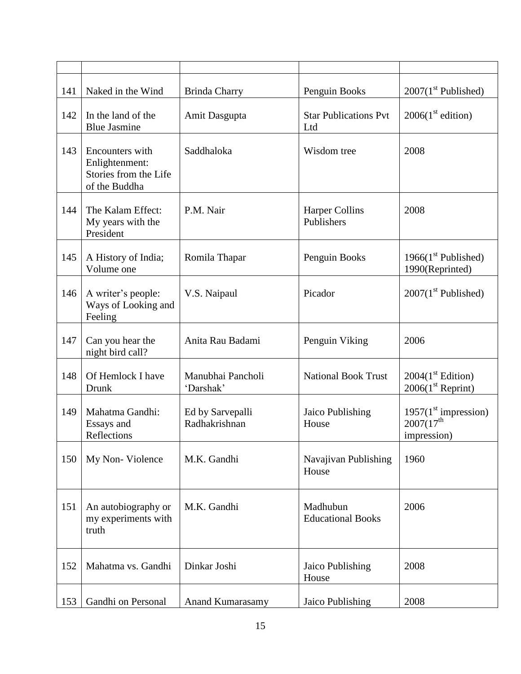| 141 | Naked in the Wind                                                           | <b>Brinda Charry</b>              | Penguin Books                        | $2007(1st$ Published)                                                    |
|-----|-----------------------------------------------------------------------------|-----------------------------------|--------------------------------------|--------------------------------------------------------------------------|
| 142 | In the land of the<br><b>Blue Jasmine</b>                                   | Amit Dasgupta                     | <b>Star Publications Pvt</b><br>Ltd  | 2006(1 <sup>st</sup> edition)                                            |
| 143 | Encounters with<br>Enlightenment:<br>Stories from the Life<br>of the Buddha | Saddhaloka                        | Wisdom tree                          | 2008                                                                     |
| 144 | The Kalam Effect:<br>My years with the<br>President                         | P.M. Nair                         | <b>Harper Collins</b><br>Publishers  | 2008                                                                     |
| 145 | A History of India;<br>Volume one                                           | Romila Thapar                     | Penguin Books                        | 1966 $(1st$ Published)<br>1990(Reprinted)                                |
| 146 | A writer's people:<br>Ways of Looking and<br>Feeling                        | V.S. Naipaul                      | Picador                              | $2007(1st$ Published)                                                    |
| 147 | Can you hear the<br>night bird call?                                        | Anita Rau Badami                  | Penguin Viking                       | 2006                                                                     |
| 148 | Of Hemlock I have<br>Drunk                                                  | Manubhai Pancholi<br>'Darshak'    | <b>National Book Trust</b>           | 2004(1 <sup>st</sup> Edition)<br>$2006(1st$ Reprint)                     |
| 149 | Mahatma Gandhi:<br>Essays and<br>Reflections                                | Ed by Sarvepalli<br>Radhakrishnan | Jaico Publishing<br>House            | 1957(1 <sup>st</sup> impression)<br>$2007(17^{\text{th}}$<br>impression) |
| 150 | My Non-Violence                                                             | M.K. Gandhi                       | Navajivan Publishing<br>House        | 1960                                                                     |
| 151 | An autobiography or<br>my experiments with<br>truth                         | M.K. Gandhi                       | Madhubun<br><b>Educational Books</b> | 2006                                                                     |
| 152 | Mahatma vs. Gandhi                                                          | Dinkar Joshi                      | Jaico Publishing<br>House            | 2008                                                                     |
| 153 | Gandhi on Personal                                                          | <b>Anand Kumarasamy</b>           | Jaico Publishing                     | 2008                                                                     |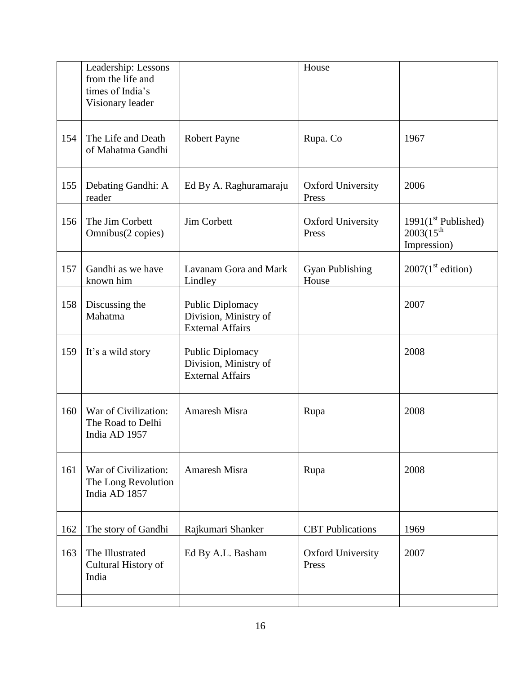|     | Leadership: Lessons<br>from the life and<br>times of India's<br>Visionary leader |                                                                             | House                             |                                                        |
|-----|----------------------------------------------------------------------------------|-----------------------------------------------------------------------------|-----------------------------------|--------------------------------------------------------|
| 154 | The Life and Death<br>of Mahatma Gandhi                                          | <b>Robert Payne</b>                                                         | Rupa. Co                          | 1967                                                   |
| 155 | Debating Gandhi: A<br>reader                                                     | Ed By A. Raghuramaraju                                                      | <b>Oxford University</b><br>Press | 2006                                                   |
| 156 | The Jim Corbett<br>Omnibus(2 copies)                                             | Jim Corbett                                                                 | <b>Oxford University</b><br>Press | $1991(1st$ Published)<br>$2003(15^{th}$<br>Impression) |
| 157 | Gandhi as we have<br>known him                                                   | Lavanam Gora and Mark<br>Lindley                                            | <b>Gyan Publishing</b><br>House   | 2007(1 <sup>st</sup> edition)                          |
| 158 | Discussing the<br>Mahatma                                                        | <b>Public Diplomacy</b><br>Division, Ministry of<br><b>External Affairs</b> |                                   | 2007                                                   |
| 159 | It's a wild story                                                                | <b>Public Diplomacy</b><br>Division, Ministry of<br><b>External Affairs</b> |                                   | 2008                                                   |
| 160 | War of Civilization:<br>The Road to Delhi<br>India AD 1957                       | Amaresh Misra                                                               | Rupa                              | 2008                                                   |
| 161 | War of Civilization:<br>The Long Revolution<br>India AD 1857                     | <b>Amaresh Misra</b>                                                        | Rupa                              | 2008                                                   |
| 162 | The story of Gandhi                                                              | Rajkumari Shanker                                                           | <b>CBT</b> Publications           | 1969                                                   |
| 163 | The Illustrated<br>Cultural History of<br>India                                  | Ed By A.L. Basham                                                           | <b>Oxford University</b><br>Press | 2007                                                   |
|     |                                                                                  |                                                                             |                                   |                                                        |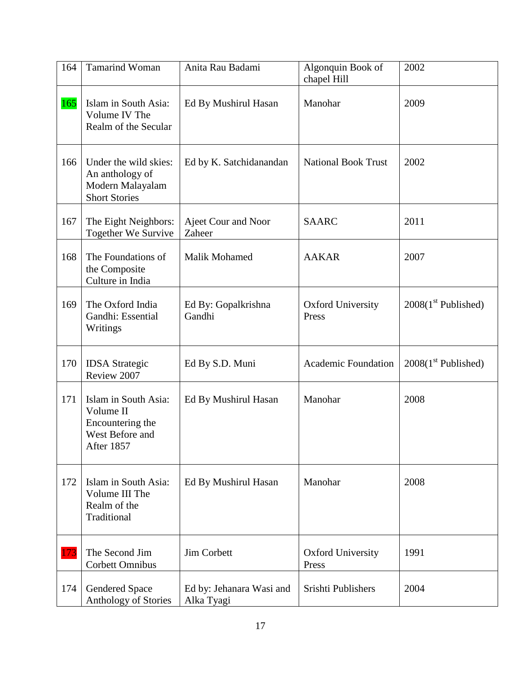| 164 | <b>Tamarind Woman</b>                                                                  | Anita Rau Badami                       | Algonquin Book of<br>chapel Hill  | 2002                  |
|-----|----------------------------------------------------------------------------------------|----------------------------------------|-----------------------------------|-----------------------|
| 165 | Islam in South Asia:<br>Volume IV The<br>Realm of the Secular                          | Ed By Mushirul Hasan                   | Manohar                           | 2009                  |
| 166 | Under the wild skies:<br>An anthology of<br>Modern Malayalam<br><b>Short Stories</b>   | Ed by K. Satchidanandan                | <b>National Book Trust</b>        | 2002                  |
| 167 | The Eight Neighbors:<br>Together We Survive                                            | Ajeet Cour and Noor<br>Zaheer          | <b>SAARC</b>                      | 2011                  |
| 168 | The Foundations of<br>the Composite<br>Culture in India                                | Malik Mohamed                          | <b>AAKAR</b>                      | 2007                  |
| 169 | The Oxford India<br>Gandhi: Essential<br>Writings                                      | Ed By: Gopalkrishna<br>Gandhi          | <b>Oxford University</b><br>Press | $2008(1st$ Published) |
| 170 | <b>IDSA</b> Strategic<br>Review 2007                                                   | Ed By S.D. Muni                        | <b>Academic Foundation</b>        | $2008(1st$ Published) |
| 171 | Islam in South Asia:<br>Volume II<br>Encountering the<br>West Before and<br>After 1857 | Ed By Mushirul Hasan                   | Manohar                           | 2008                  |
| 172 | Islam in South Asia:<br>Volume III The<br>Realm of the<br>Traditional                  | Ed By Mushirul Hasan                   | Manohar                           | 2008                  |
| 173 | The Second Jim<br><b>Corbett Omnibus</b>                                               | Jim Corbett                            | <b>Oxford University</b><br>Press | 1991                  |
| 174 | <b>Gendered Space</b><br>Anthology of Stories                                          | Ed by: Jehanara Wasi and<br>Alka Tyagi | Srishti Publishers                | 2004                  |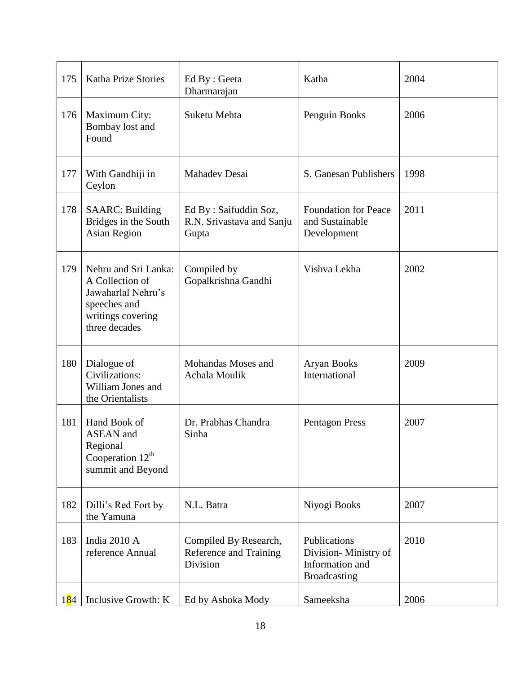| 175                | <b>Katha Prize Stories</b>                                                                                          | Ed By : Geeta<br>Dharmarajan                                | Katha                                                                          | 2004 |
|--------------------|---------------------------------------------------------------------------------------------------------------------|-------------------------------------------------------------|--------------------------------------------------------------------------------|------|
| 176                | Maximum City:<br>Bombay lost and<br>Found                                                                           | Suketu Mehta                                                | Penguin Books                                                                  | 2006 |
| 177                | With Gandhiji in<br>Ceylon                                                                                          | <b>Mahadev Desai</b>                                        | S. Ganesan Publishers                                                          | 1998 |
| 178                | <b>SAARC: Building</b><br>Bridges in the South<br><b>Asian Region</b>                                               | Ed By: Saifuddin Soz,<br>R.N. Srivastava and Sanju<br>Gupta | <b>Foundation for Peace</b><br>and Sustainable<br>Development                  | 2011 |
| 179                | Nehru and Sri Lanka:<br>A Collection of<br>Jawaharlal Nehru's<br>speeches and<br>writings covering<br>three decades | Compiled by<br>Gopalkrishna Gandhi                          | Vishva Lekha                                                                   | 2002 |
| 180                | Dialogue of<br>Civilizations:<br>William Jones and<br>the Orientalists                                              | Mohandas Moses and<br>Achala Moulik                         | <b>Aryan Books</b><br>International                                            | 2009 |
| 181                | Hand Book of<br><b>ASEAN</b> and<br>Regional<br>Cooperation $12^{th}$<br>summit and Beyond                          | Dr. Prabhas Chandra<br>Sinha                                | Pentagon Press                                                                 | 2007 |
| 182                | Dilli's Red Fort by<br>the Yamuna                                                                                   | N.L. Batra                                                  | Niyogi Books                                                                   | 2007 |
| 183                | India 2010 A<br>reference Annual                                                                                    | Compiled By Research,<br>Reference and Training<br>Division | Publications<br>Division-Ministry of<br>Information and<br><b>Broadcasting</b> | 2010 |
| 1 <mark>8</mark> 4 | Inclusive Growth: K                                                                                                 | Ed by Ashoka Mody                                           | Sameeksha                                                                      | 2006 |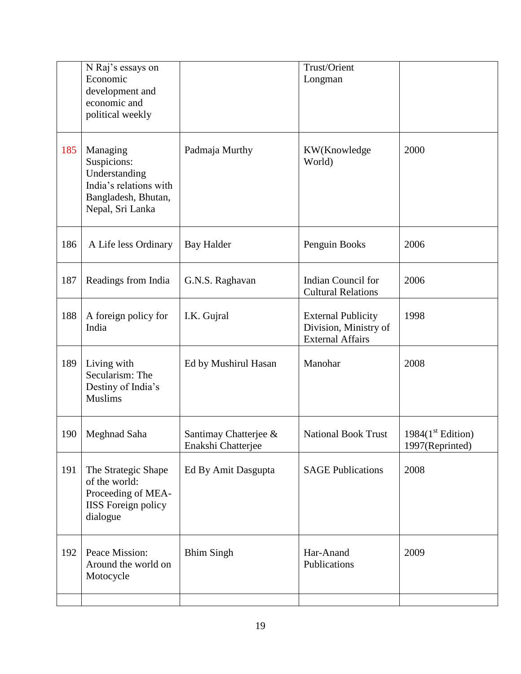|     | N Raj's essays on<br>Economic<br>development and<br>economic and<br>political weekly                          |                                             | Trust/Orient<br>Longman                                                       |                                         |
|-----|---------------------------------------------------------------------------------------------------------------|---------------------------------------------|-------------------------------------------------------------------------------|-----------------------------------------|
| 185 | Managing<br>Suspicions:<br>Understanding<br>India's relations with<br>Bangladesh, Bhutan,<br>Nepal, Sri Lanka | Padmaja Murthy                              | KW(Knowledge<br>World)                                                        | 2000                                    |
| 186 | A Life less Ordinary                                                                                          | <b>Bay Halder</b>                           | Penguin Books                                                                 | 2006                                    |
| 187 | Readings from India                                                                                           | G.N.S. Raghavan                             | Indian Council for<br><b>Cultural Relations</b>                               | 2006                                    |
| 188 | A foreign policy for<br>India                                                                                 | I.K. Gujral                                 | <b>External Publicity</b><br>Division, Ministry of<br><b>External Affairs</b> | 1998                                    |
| 189 | Living with<br>Secularism: The<br>Destiny of India's<br><b>Muslims</b>                                        | Ed by Mushirul Hasan                        | Manohar                                                                       | 2008                                    |
| 190 | Meghnad Saha                                                                                                  | Santimay Chatterjee &<br>Enakshi Chatterjee | <b>National Book Trust</b>                                                    | 1984 $(1st Edition)$<br>1997(Reprinted) |
| 191 | The Strategic Shape<br>of the world:<br>Proceeding of MEA-<br><b>IISS</b> Foreign policy<br>dialogue          | Ed By Amit Dasgupta                         | <b>SAGE Publications</b>                                                      | 2008                                    |
| 192 | Peace Mission:<br>Around the world on<br>Motocycle                                                            | <b>Bhim Singh</b>                           | Har-Anand<br>Publications                                                     | 2009                                    |
|     |                                                                                                               |                                             |                                                                               |                                         |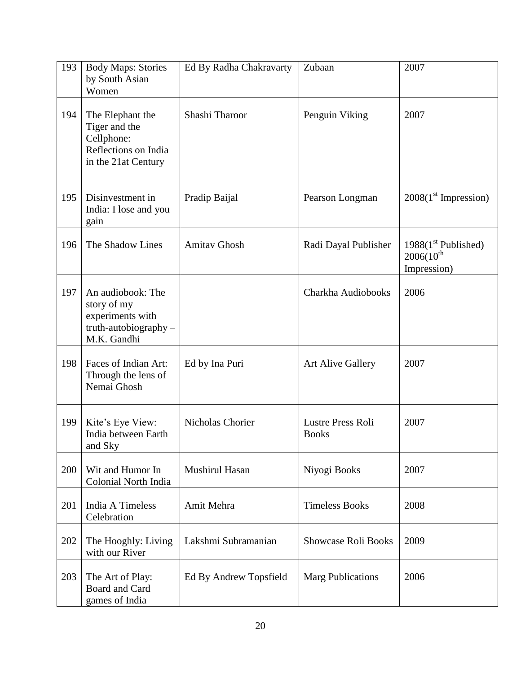| 193 | <b>Body Maps: Stories</b><br>by South Asian<br>Women                                           | Ed By Radha Chakravarty | Zubaan                            | 2007                                                   |
|-----|------------------------------------------------------------------------------------------------|-------------------------|-----------------------------------|--------------------------------------------------------|
| 194 | The Elephant the<br>Tiger and the<br>Cellphone:<br>Reflections on India<br>in the 21at Century | Shashi Tharoor          | Penguin Viking                    | 2007                                                   |
| 195 | Disinvestment in<br>India: I lose and you<br>gain                                              | Pradip Baijal           | Pearson Longman                   | $2008(1st$ Impression)                                 |
| 196 | The Shadow Lines                                                                               | <b>Amitav Ghosh</b>     | Radi Dayal Publisher              | $1988(1st$ Published)<br>$2006(10^{th}$<br>Impression) |
| 197 | An audiobook: The<br>story of my<br>experiments with<br>truth-autobiography-<br>M.K. Gandhi    |                         | Charkha Audiobooks                | 2006                                                   |
| 198 | Faces of Indian Art:<br>Through the lens of<br>Nemai Ghosh                                     | Ed by Ina Puri          | <b>Art Alive Gallery</b>          | 2007                                                   |
| 199 | Kite's Eye View:<br>India between Earth<br>and Sky                                             | Nicholas Chorier        | Lustre Press Roli<br><b>Books</b> | 2007                                                   |
| 200 | Wit and Humor In<br>Colonial North India                                                       | Mushirul Hasan          | Niyogi Books                      | 2007                                                   |
| 201 | India A Timeless<br>Celebration                                                                | Amit Mehra              | <b>Timeless Books</b>             | 2008                                                   |
| 202 | The Hooghly: Living<br>with our River                                                          | Lakshmi Subramanian     | <b>Showcase Roli Books</b>        | 2009                                                   |
| 203 | The Art of Play:<br>Board and Card<br>games of India                                           | Ed By Andrew Topsfield  | <b>Marg Publications</b>          | 2006                                                   |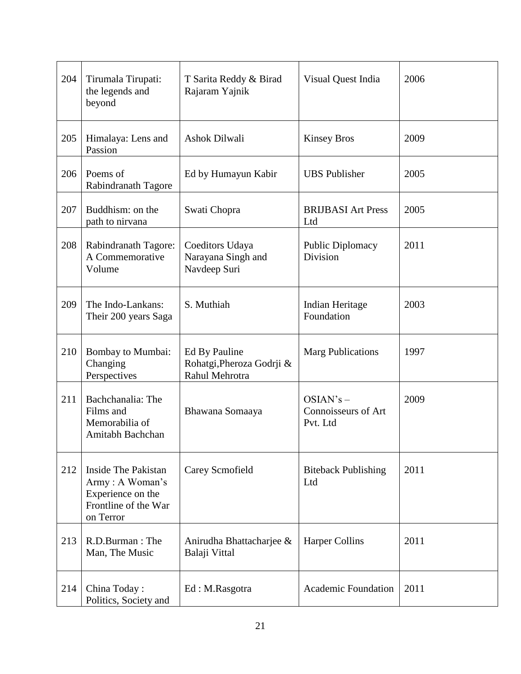| 204 | Tirumala Tirupati:<br>the legends and<br>beyond                                                  | T Sarita Reddy & Birad<br>Rajaram Yajnik                     | Visual Quest India                             | 2006 |
|-----|--------------------------------------------------------------------------------------------------|--------------------------------------------------------------|------------------------------------------------|------|
| 205 | Himalaya: Lens and<br>Passion                                                                    | Ashok Dilwali                                                | <b>Kinsey Bros</b>                             | 2009 |
| 206 | Poems of<br>Rabindranath Tagore                                                                  | Ed by Humayun Kabir                                          | <b>UBS</b> Publisher                           | 2005 |
| 207 | Buddhism: on the<br>path to nirvana                                                              | Swati Chopra                                                 | <b>BRIJBASI Art Press</b><br>Ltd               | 2005 |
| 208 | Rabindranath Tagore:<br>A Commemorative<br>Volume                                                | Coeditors Udaya<br>Narayana Singh and<br>Navdeep Suri        | <b>Public Diplomacy</b><br>Division            | 2011 |
| 209 | The Indo-Lankans:<br>Their 200 years Saga                                                        | S. Muthiah                                                   | Indian Heritage<br>Foundation                  | 2003 |
| 210 | Bombay to Mumbai:<br>Changing<br>Perspectives                                                    | Ed By Pauline<br>Rohatgi, Pheroza Godrji &<br>Rahul Mehrotra | <b>Marg Publications</b>                       | 1997 |
| 211 | Bachchanalia: The<br>Films and<br>Memorabilia of<br>Amitabh Bachchan                             | Bhawana Somaaya                                              | $OSIAN's -$<br>Connoisseurs of Art<br>Pvt. Ltd | 2009 |
| 212 | Inside The Pakistan<br>Army: A Woman's<br>Experience on the<br>Frontline of the War<br>on Terror | Carey Scmofield                                              | <b>Biteback Publishing</b><br>Ltd              | 2011 |
| 213 | R.D.Burman: The<br>Man, The Music                                                                | Anirudha Bhattacharjee &<br>Balaji Vittal                    | <b>Harper Collins</b>                          | 2011 |
| 214 | China Today:<br>Politics, Society and                                                            | Ed: M.Rasgotra                                               | <b>Academic Foundation</b>                     | 2011 |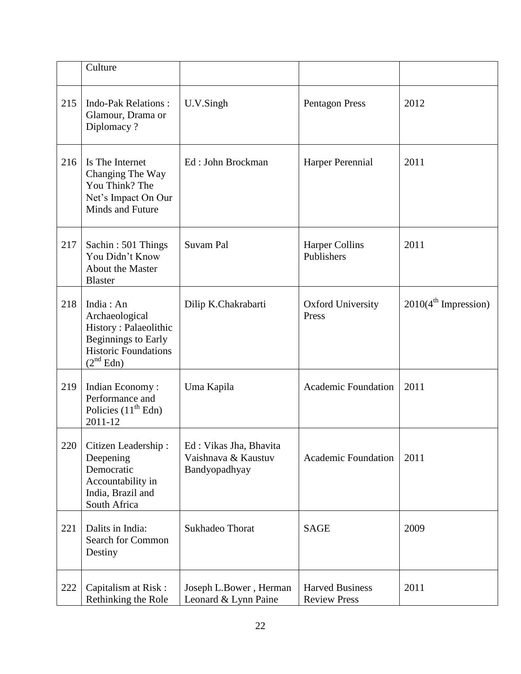|     | Culture                                                                                                                                    |                                                                |                                               |                                  |
|-----|--------------------------------------------------------------------------------------------------------------------------------------------|----------------------------------------------------------------|-----------------------------------------------|----------------------------------|
| 215 | <b>Indo-Pak Relations:</b><br>Glamour, Drama or<br>Diplomacy?                                                                              | U.V.Singh                                                      | <b>Pentagon Press</b>                         | 2012                             |
| 216 | Is The Internet<br>Changing The Way<br>You Think? The<br>Net's Impact On Our<br>Minds and Future                                           | Ed: John Brockman                                              | Harper Perennial                              | 2011                             |
| 217 | Sachin: 501 Things<br>You Didn't Know<br><b>About the Master</b><br><b>Blaster</b>                                                         | Suvam Pal                                                      | <b>Harper Collins</b><br>Publishers           | 2011                             |
| 218 | India: An<br>Archaeological<br>History: Palaeolithic<br><b>Beginnings to Early</b><br><b>Historic Foundations</b><br>(2 <sup>nd</sup> Edn) | Dilip K.Chakrabarti                                            | <b>Oxford University</b><br>Press             | 2010(4 <sup>th</sup> Impression) |
| 219 | Indian Economy:<br>Performance and<br>Policies $(11th Edn)$<br>2011-12                                                                     | Uma Kapila                                                     | <b>Academic Foundation</b>                    | 2011                             |
| 220 | Citizen Leadership:<br>Deepening<br>Democratic<br>Accountability in<br>India, Brazil and<br>South Africa                                   | Ed: Vikas Jha, Bhavita<br>Vaishnava & Kaustuv<br>Bandyopadhyay | <b>Academic Foundation</b>                    | 2011                             |
| 221 | Dalits in India:<br><b>Search for Common</b><br>Destiny                                                                                    | Sukhadeo Thorat                                                | <b>SAGE</b>                                   | 2009                             |
| 222 | Capitalism at Risk:<br>Rethinking the Role                                                                                                 | Joseph L.Bower, Herman<br>Leonard & Lynn Paine                 | <b>Harved Business</b><br><b>Review Press</b> | 2011                             |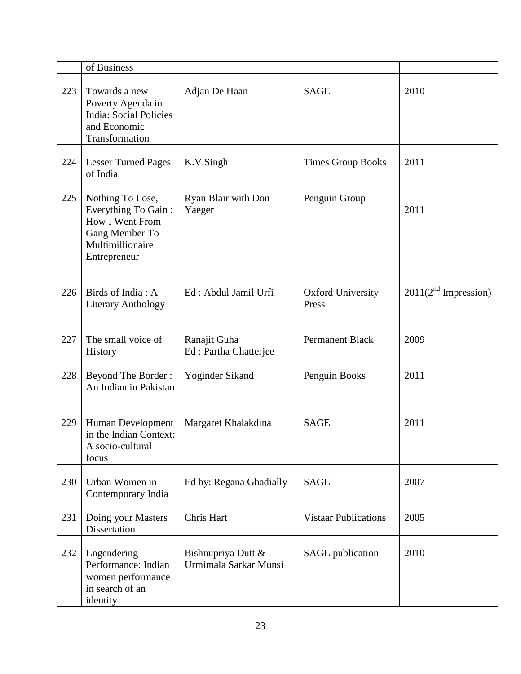|     | of Business                                                                                                      |                                             |                                   |                                  |
|-----|------------------------------------------------------------------------------------------------------------------|---------------------------------------------|-----------------------------------|----------------------------------|
| 223 | Towards a new<br>Poverty Agenda in<br><b>India: Social Policies</b><br>and Economic<br>Transformation            | Adjan De Haan                               | <b>SAGE</b>                       | 2010                             |
| 224 | <b>Lesser Turned Pages</b><br>of India                                                                           | K.V.Singh                                   | <b>Times Group Books</b>          | 2011                             |
| 225 | Nothing To Lose,<br>Everything To Gain:<br>How I Went From<br>Gang Member To<br>Multimillionaire<br>Entrepreneur | Ryan Blair with Don<br>Yaeger               | Penguin Group                     | 2011                             |
| 226 | Birds of India: A<br><b>Literary Anthology</b>                                                                   | Ed: Abdul Jamil Urfi                        | <b>Oxford University</b><br>Press | 2011(2 <sup>nd</sup> Impression) |
| 227 | The small voice of<br>History                                                                                    | Ranajit Guha<br>Ed: Partha Chatterjee       | <b>Permanent Black</b>            | 2009                             |
| 228 | <b>Beyond The Border:</b><br>An Indian in Pakistan                                                               | Yoginder Sikand                             | Penguin Books                     | 2011                             |
| 229 | Human Development<br>in the Indian Context:<br>A socio-cultural<br>focus                                         | Margaret Khalakdina                         | <b>SAGE</b>                       | 2011                             |
| 230 | Urban Women in<br>Contemporary India                                                                             | Ed by: Regana Ghadially                     | <b>SAGE</b>                       | 2007                             |
| 231 | Doing your Masters<br>Dissertation                                                                               | Chris Hart                                  | <b>Vistaar Publications</b>       | 2005                             |
| 232 | Engendering<br>Performance: Indian<br>women performance<br>in search of an<br>identity                           | Bishnupriya Dutt &<br>Urmimala Sarkar Munsi | <b>SAGE</b> publication           | 2010                             |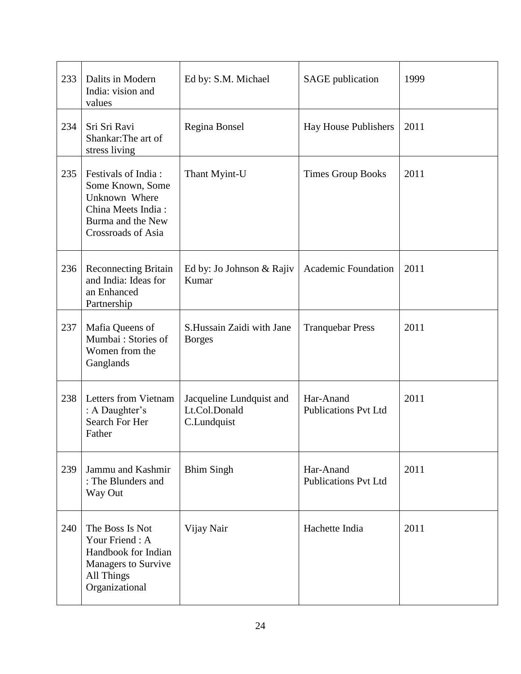| 233 | Dalits in Modern<br>India: vision and<br>values                                                                               | Ed by: S.M. Michael                                      | <b>SAGE</b> publication                  | 1999 |
|-----|-------------------------------------------------------------------------------------------------------------------------------|----------------------------------------------------------|------------------------------------------|------|
| 234 | Sri Sri Ravi<br>Shankar: The art of<br>stress living                                                                          | Regina Bonsel                                            | Hay House Publishers                     | 2011 |
| 235 | Festivals of India:<br>Some Known, Some<br>Unknown Where<br>China Meets India:<br>Burma and the New<br>Crossroads of Asia     | Thant Myint-U                                            | <b>Times Group Books</b>                 | 2011 |
| 236 | <b>Reconnecting Britain</b><br>and India: Ideas for<br>an Enhanced<br>Partnership                                             | Ed by: Jo Johnson & Rajiv<br>Kumar                       | <b>Academic Foundation</b>               | 2011 |
| 237 | Mafia Queens of<br>Mumbai: Stories of<br>Women from the<br>Ganglands                                                          | S.Hussain Zaidi with Jane<br><b>Borges</b>               | <b>Tranquebar Press</b>                  | 2011 |
| 238 | Letters from Vietnam<br>: A Daughter's<br>Search For Her<br>Father                                                            | Jacqueline Lundquist and<br>Lt.Col.Donald<br>C.Lundquist | Har-Anand<br><b>Publications Pvt Ltd</b> | 2011 |
| 239 | Jammu and Kashmir<br>: The Blunders and<br>Way Out                                                                            | <b>Bhim Singh</b>                                        | Har-Anand<br><b>Publications Pvt Ltd</b> | 2011 |
| 240 | The Boss Is Not<br>Your Friend: A<br>Handbook for Indian<br><b>Managers to Survive</b><br><b>All Things</b><br>Organizational | Vijay Nair                                               | Hachette India                           | 2011 |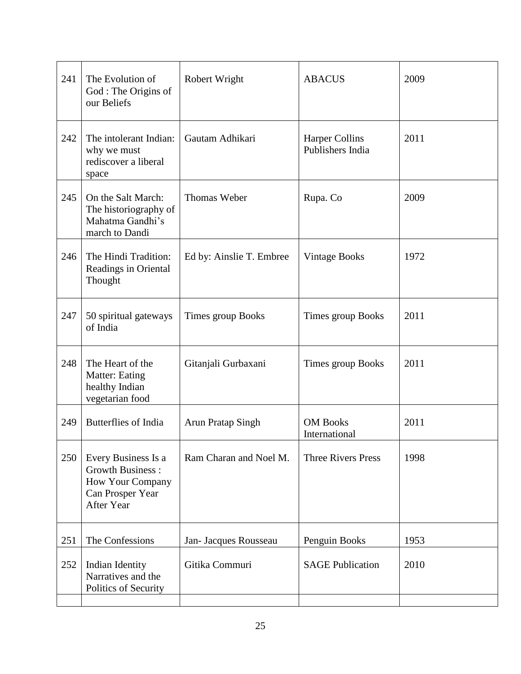| 241 | The Evolution of<br>God: The Origins of<br>our Beliefs                                               | Robert Wright            | <b>ABACUS</b>                             | 2009 |
|-----|------------------------------------------------------------------------------------------------------|--------------------------|-------------------------------------------|------|
| 242 | The intolerant Indian:<br>why we must<br>rediscover a liberal<br>space                               | Gautam Adhikari          | <b>Harper Collins</b><br>Publishers India | 2011 |
| 245 | On the Salt March:<br>The historiography of<br>Mahatma Gandhi's<br>march to Dandi                    | Thomas Weber             | Rupa. Co                                  | 2009 |
| 246 | The Hindi Tradition:<br>Readings in Oriental<br>Thought                                              | Ed by: Ainslie T. Embree | <b>Vintage Books</b>                      | 1972 |
| 247 | 50 spiritual gateways<br>of India                                                                    | Times group Books        | Times group Books                         | 2011 |
| 248 | The Heart of the<br><b>Matter: Eating</b><br>healthy Indian<br>vegetarian food                       | Gitanjali Gurbaxani      | Times group Books                         | 2011 |
| 249 | <b>Butterflies of India</b>                                                                          | Arun Pratap Singh        | <b>OM Books</b><br>International          | 2011 |
| 250 | Every Business Is a<br><b>Growth Business:</b><br>How Your Company<br>Can Prosper Year<br>After Year | Ram Charan and Noel M.   | <b>Three Rivers Press</b>                 | 1998 |
| 251 | The Confessions                                                                                      | Jan- Jacques Rousseau    | Penguin Books                             | 1953 |
| 252 | Indian Identity<br>Narratives and the<br>Politics of Security                                        | Gitika Commuri           | <b>SAGE Publication</b>                   | 2010 |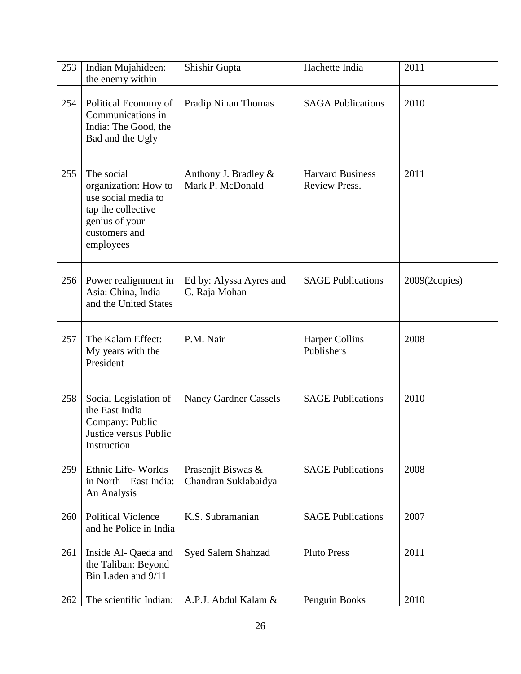| 253 | Indian Mujahideen:<br>the enemy within                                                                                          | Shishir Gupta                              | Hachette India                                  | 2011                    |
|-----|---------------------------------------------------------------------------------------------------------------------------------|--------------------------------------------|-------------------------------------------------|-------------------------|
| 254 | Political Economy of<br>Communications in<br>India: The Good, the<br>Bad and the Ugly                                           | Pradip Ninan Thomas                        | <b>SAGA Publications</b>                        | 2010                    |
| 255 | The social<br>organization: How to<br>use social media to<br>tap the collective<br>genius of your<br>customers and<br>employees | Anthony J. Bradley &<br>Mark P. McDonald   | <b>Harvard Business</b><br><b>Review Press.</b> | 2011                    |
| 256 | Power realignment in<br>Asia: China, India<br>and the United States                                                             | Ed by: Alyssa Ayres and<br>C. Raja Mohan   | <b>SAGE Publications</b>                        | $2009(2 \text{copies})$ |
| 257 | The Kalam Effect:<br>My years with the<br>President                                                                             | P.M. Nair                                  | <b>Harper Collins</b><br>Publishers             | 2008                    |
| 258 | Social Legislation of<br>the East India<br>Company: Public<br>Justice versus Public<br>Instruction                              | <b>Nancy Gardner Cassels</b>               | <b>SAGE Publications</b>                        | 2010                    |
| 259 | Ethnic Life-Worlds<br>in North - East India:<br>An Analysis                                                                     | Prasenjit Biswas &<br>Chandran Suklabaidya | <b>SAGE Publications</b>                        | 2008                    |
| 260 | <b>Political Violence</b><br>and he Police in India                                                                             | K.S. Subramanian                           | <b>SAGE Publications</b>                        | 2007                    |
| 261 | Inside Al- Qaeda and<br>the Taliban: Beyond<br>Bin Laden and 9/11                                                               | Syed Salem Shahzad                         | <b>Pluto Press</b>                              | 2011                    |
| 262 | The scientific Indian:                                                                                                          | A.P.J. Abdul Kalam &                       | Penguin Books                                   | 2010                    |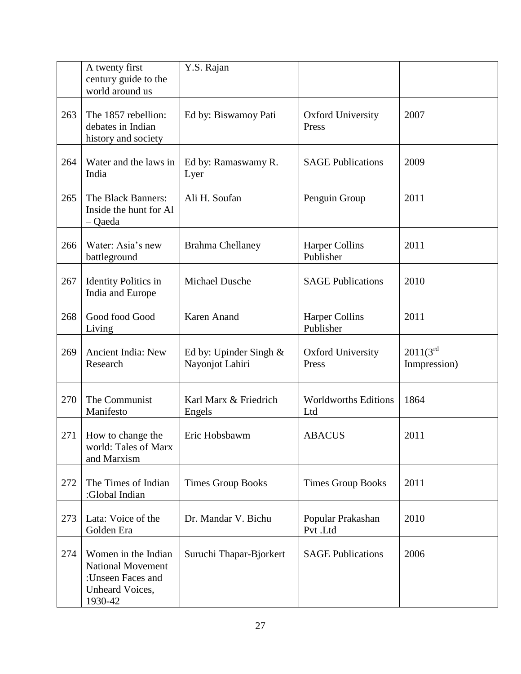|     | A twenty first<br>century guide to the<br>world around us                                          | Y.S. Rajan                                  |                                    |                               |
|-----|----------------------------------------------------------------------------------------------------|---------------------------------------------|------------------------------------|-------------------------------|
| 263 | The 1857 rebellion:<br>debates in Indian<br>history and society                                    | Ed by: Biswamoy Pati                        | <b>Oxford University</b><br>Press  | 2007                          |
| 264 | Water and the laws in<br>India                                                                     | Ed by: Ramaswamy R.<br>Lyer                 | <b>SAGE Publications</b>           | 2009                          |
| 265 | The Black Banners:<br>Inside the hunt for Al<br>- Qaeda                                            | Ali H. Soufan                               | Penguin Group                      | 2011                          |
| 266 | Water: Asia's new<br>battleground                                                                  | <b>Brahma Chellaney</b>                     | <b>Harper Collins</b><br>Publisher | 2011                          |
| 267 | <b>Identity Politics in</b><br>India and Europe                                                    | Michael Dusche                              | <b>SAGE Publications</b>           | 2010                          |
| 268 | Good food Good<br>Living                                                                           | Karen Anand                                 | <b>Harper Collins</b><br>Publisher | 2011                          |
| 269 | Ancient India: New<br>Research                                                                     | Ed by: Upinder Singh $&$<br>Nayonjot Lahiri | <b>Oxford University</b><br>Press  | $2011(3^{rd}$<br>Inmpression) |
| 270 | The Communist<br>Manifesto                                                                         | Karl Marx & Friedrich<br>Engels             | <b>Worldworths Editions</b><br>Ltd | 1864                          |
| 271 | How to change the<br>world: Tales of Marx<br>and Marxism                                           | Eric Hobsbawm                               | <b>ABACUS</b>                      | 2011                          |
| 272 | The Times of Indian<br>:Global Indian                                                              | <b>Times Group Books</b>                    | <b>Times Group Books</b>           | 2011                          |
| 273 | Lata: Voice of the<br>Golden Era                                                                   | Dr. Mandar V. Bichu                         | Popular Prakashan<br>Pvt.Ltd       | 2010                          |
| 274 | Women in the Indian<br><b>National Movement</b><br>:Unseen Faces and<br>Unheard Voices,<br>1930-42 | Suruchi Thapar-Bjorkert                     | <b>SAGE Publications</b>           | 2006                          |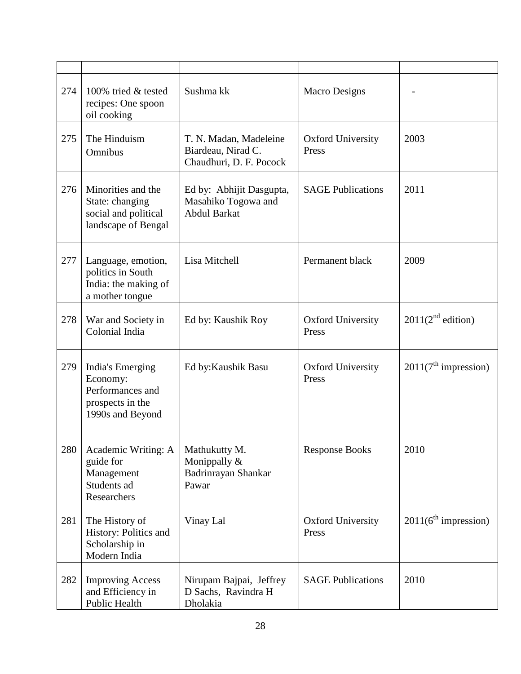| 274 | 100% tried & tested<br>recipes: One spoon<br>oil cooking                                 | Sushma kk                                                               | <b>Macro Designs</b>              |                                  |
|-----|------------------------------------------------------------------------------------------|-------------------------------------------------------------------------|-----------------------------------|----------------------------------|
| 275 | The Hinduism<br>Omnibus                                                                  | T. N. Madan, Madeleine<br>Biardeau, Nirad C.<br>Chaudhuri, D. F. Pocock | <b>Oxford University</b><br>Press | 2003                             |
| 276 | Minorities and the<br>State: changing<br>social and political<br>landscape of Bengal     | Ed by: Abhijit Dasgupta,<br>Masahiko Togowa and<br><b>Abdul Barkat</b>  | <b>SAGE Publications</b>          | 2011                             |
| 277 | Language, emotion,<br>politics in South<br>India: the making of<br>a mother tongue       | Lisa Mitchell                                                           | Permanent black                   | 2009                             |
| 278 | War and Society in<br>Colonial India                                                     | Ed by: Kaushik Roy                                                      | <b>Oxford University</b><br>Press | 2011(2 <sup>nd</sup> edition)    |
| 279 | India's Emerging<br>Economy:<br>Performances and<br>prospects in the<br>1990s and Beyond | Ed by: Kaushik Basu                                                     | <b>Oxford University</b><br>Press | 2011(7 <sup>th</sup> impression) |
| 280 | Academic Writing: A<br>guide for<br>Management<br>Students ad<br>Researchers             | Mathukutty M.<br>Monippally &<br>Badrinrayan Shankar<br>Pawar           | <b>Response Books</b>             | 2010                             |
| 281 | The History of<br>History: Politics and<br>Scholarship in<br>Modern India                | Vinay Lal                                                               | <b>Oxford University</b><br>Press | 2011(6 <sup>th</sup> impression) |
| 282 | <b>Improving Access</b><br>and Efficiency in<br>Public Health                            | Nirupam Bajpai, Jeffrey<br>D Sachs, Ravindra H<br>Dholakia              | <b>SAGE Publications</b>          | 2010                             |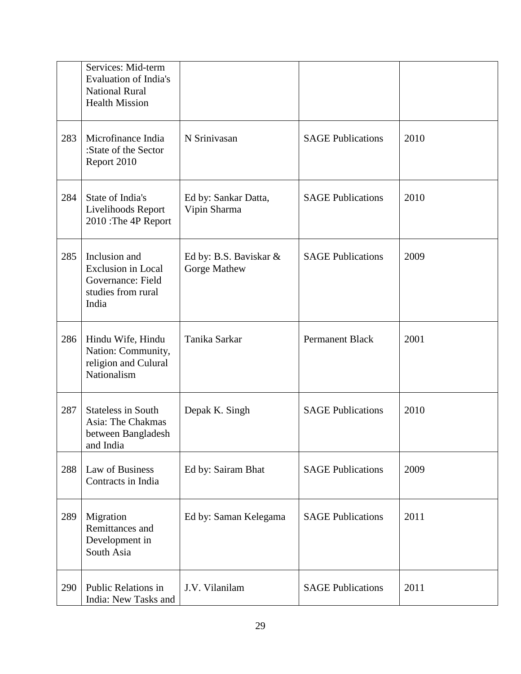|     | Services: Mid-term<br><b>Evaluation of India's</b><br><b>National Rural</b><br><b>Health Mission</b> |                                        |                          |      |
|-----|------------------------------------------------------------------------------------------------------|----------------------------------------|--------------------------|------|
| 283 | Microfinance India<br>:State of the Sector<br>Report 2010                                            | N Srinivasan                           | <b>SAGE Publications</b> | 2010 |
| 284 | State of India's<br>Livelihoods Report<br>2010 : The 4P Report                                       | Ed by: Sankar Datta,<br>Vipin Sharma   | <b>SAGE Publications</b> | 2010 |
| 285 | Inclusion and<br><b>Exclusion</b> in Local<br>Governance: Field<br>studies from rural<br>India       | Ed by: B.S. Baviskar &<br>Gorge Mathew | <b>SAGE Publications</b> | 2009 |
| 286 | Hindu Wife, Hindu<br>Nation: Community,<br>religion and Culural<br>Nationalism                       | Tanika Sarkar                          | <b>Permanent Black</b>   | 2001 |
| 287 | <b>Stateless in South</b><br>Asia: The Chakmas<br>between Bangladesh<br>and India                    | Depak K. Singh                         | <b>SAGE Publications</b> | 2010 |
| 288 | Law of Business<br>Contracts in India                                                                | Ed by: Sairam Bhat                     | <b>SAGE Publications</b> | 2009 |
| 289 | Migration<br>Remittances and<br>Development in<br>South Asia                                         | Ed by: Saman Kelegama                  | <b>SAGE Publications</b> | 2011 |
| 290 | Public Relations in<br>India: New Tasks and                                                          | J.V. Vilanilam                         | <b>SAGE Publications</b> | 2011 |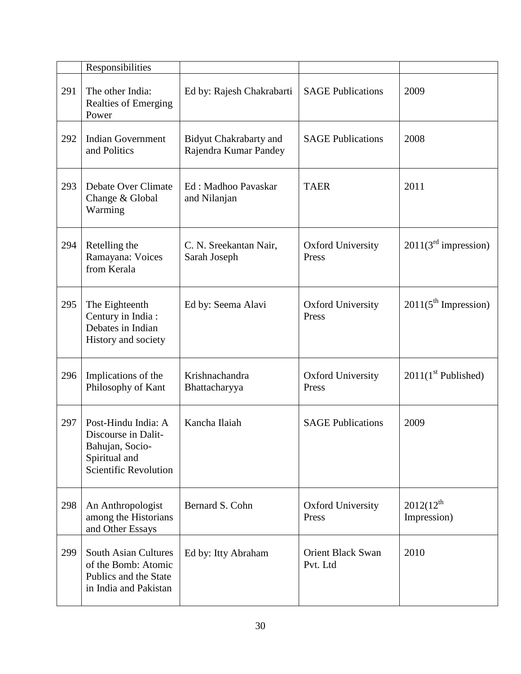|     | Responsibilities                                                                                        |                                                        |                                      |                                  |
|-----|---------------------------------------------------------------------------------------------------------|--------------------------------------------------------|--------------------------------------|----------------------------------|
| 291 | The other India:<br><b>Realties of Emerging</b><br>Power                                                | Ed by: Rajesh Chakrabarti                              | <b>SAGE Publications</b>             | 2009                             |
| 292 | <b>Indian Government</b><br>and Politics                                                                | <b>Bidyut Chakrabarty and</b><br>Rajendra Kumar Pandey | <b>SAGE Publications</b>             | 2008                             |
| 293 | Debate Over Climate<br>Change & Global<br>Warming                                                       | Ed: Madhoo Pavaskar<br>and Nilanjan                    | <b>TAER</b>                          | 2011                             |
| 294 | Retelling the<br>Ramayana: Voices<br>from Kerala                                                        | C. N. Sreekantan Nair,<br>Sarah Joseph                 | <b>Oxford University</b><br>Press    | 2011(3 <sup>rd</sup> impression) |
| 295 | The Eighteenth<br>Century in India:<br>Debates in Indian<br>History and society                         | Ed by: Seema Alavi                                     | <b>Oxford University</b><br>Press    | 2011(5 <sup>th</sup> Impression) |
| 296 | Implications of the<br>Philosophy of Kant                                                               | Krishnachandra<br>Bhattacharyya                        | <b>Oxford University</b><br>Press    | $2011(1st$ Published)            |
| 297 | Post-Hindu India: A<br>Discourse in Dalit-<br>Bahujan, Socio-<br>Spiritual and<br>Scientific Revolution | Kancha Ilaiah                                          | <b>SAGE Publications</b>             | 2009                             |
| 298 | An Anthropologist<br>among the Historians<br>and Other Essays                                           | Bernard S. Cohn                                        | <b>Oxford University</b><br>Press    | $2012(12^{th}$<br>Impression)    |
| 299 | <b>South Asian Cultures</b><br>of the Bomb: Atomic<br>Publics and the State<br>in India and Pakistan    | Ed by: Itty Abraham                                    | <b>Orient Black Swan</b><br>Pvt. Ltd | 2010                             |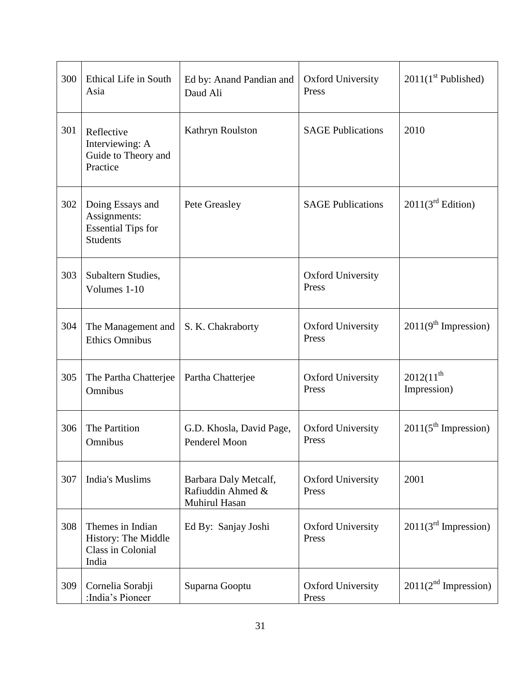| 300 | Ethical Life in South<br>Asia                                                    | Ed by: Anand Pandian and<br>Daud Ali                        | <b>Oxford University</b><br>Press | $2011(1st$ Published)            |
|-----|----------------------------------------------------------------------------------|-------------------------------------------------------------|-----------------------------------|----------------------------------|
| 301 | Reflective<br>Interviewing: A<br>Guide to Theory and<br>Practice                 | Kathryn Roulston                                            | <b>SAGE Publications</b>          | 2010                             |
| 302 | Doing Essays and<br>Assignments:<br><b>Essential Tips for</b><br><b>Students</b> | Pete Greasley                                               | <b>SAGE Publications</b>          | 2011(3 <sup>rd</sup> Edition)    |
| 303 | Subaltern Studies,<br>Volumes 1-10                                               |                                                             | <b>Oxford University</b><br>Press |                                  |
| 304 | The Management and<br><b>Ethics Omnibus</b>                                      | S. K. Chakraborty                                           | <b>Oxford University</b><br>Press | 2011(9 <sup>th</sup> Impression) |
| 305 | The Partha Chatterjee<br>Omnibus                                                 | Partha Chatterjee                                           | <b>Oxford University</b><br>Press | $2012(11^{th}$<br>Impression)    |
| 306 | The Partition<br>Omnibus                                                         | G.D. Khosla, David Page,<br>Penderel Moon                   | <b>Oxford University</b><br>Press | 2011(5 <sup>th</sup> Impression) |
| 307 | <b>India's Muslims</b>                                                           | Barbara Daly Metcalf,<br>Rafiuddin Ahmed &<br>Muhirul Hasan | <b>Oxford University</b><br>Press | 2001                             |
| 308 | Themes in Indian<br>History: The Middle<br>Class in Colonial<br>India            | Ed By: Sanjay Joshi                                         | <b>Oxford University</b><br>Press | 2011(3 <sup>rd</sup> Impression) |
| 309 | Cornelia Sorabji<br>:India's Pioneer                                             | Suparna Gooptu                                              | <b>Oxford University</b><br>Press | 2011(2 <sup>nd</sup> Impression) |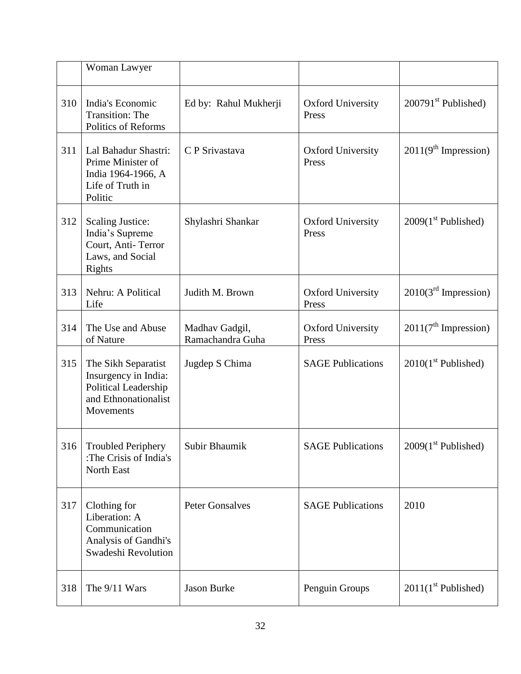|     | Woman Lawyer                                                                                             |                                    |                                   |                                  |
|-----|----------------------------------------------------------------------------------------------------------|------------------------------------|-----------------------------------|----------------------------------|
| 310 | India's Economic<br><b>Transition: The</b><br>Politics of Reforms                                        | Ed by: Rahul Mukherji              | <b>Oxford University</b><br>Press | $200791st$ Published)            |
| 311 | Lal Bahadur Shastri:<br>Prime Minister of<br>India 1964-1966, A<br>Life of Truth in<br>Politic           | C P Srivastava                     | <b>Oxford University</b><br>Press | 2011(9 <sup>th</sup> Impression) |
| 312 | <b>Scaling Justice:</b><br>India's Supreme<br>Court, Anti-Terror<br>Laws, and Social<br>Rights           | Shylashri Shankar                  | <b>Oxford University</b><br>Press | $2009(1st$ Published)            |
| 313 | Nehru: A Political<br>Life                                                                               | Judith M. Brown                    | <b>Oxford University</b><br>Press | $2010(3rd$ Impression)           |
| 314 | The Use and Abuse<br>of Nature                                                                           | Madhav Gadgil,<br>Ramachandra Guha | <b>Oxford University</b><br>Press | 2011(7 <sup>th</sup> Impression) |
| 315 | The Sikh Separatist<br>Insurgency in India:<br>Political Leadership<br>and Ethnonationalist<br>Movements | Jugdep S Chima                     | <b>SAGE Publications</b>          | $2010(1st$ Published)            |
| 316 | <b>Troubled Periphery</b><br>:The Crisis of India's<br>North East                                        | Subir Bhaumik                      | <b>SAGE Publications</b>          | $2009(1st$ Published)            |
| 317 | Clothing for<br>Liberation: A<br>Communication<br>Analysis of Gandhi's<br>Swadeshi Revolution            | <b>Peter Gonsalves</b>             | <b>SAGE Publications</b>          | 2010                             |
| 318 | The 9/11 Wars                                                                                            | <b>Jason Burke</b>                 | Penguin Groups                    | $2011(1st$ Published)            |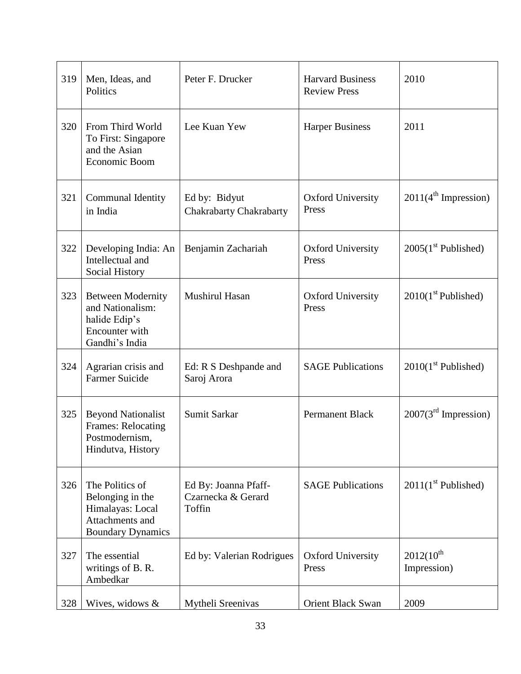| 319 | Men, Ideas, and<br>Politics                                                                            | Peter F. Drucker                                     | <b>Harvard Business</b><br><b>Review Press</b> | 2010                             |
|-----|--------------------------------------------------------------------------------------------------------|------------------------------------------------------|------------------------------------------------|----------------------------------|
| 320 | From Third World<br>To First: Singapore<br>and the Asian<br>Economic Boom                              | Lee Kuan Yew                                         | <b>Harper Business</b>                         | 2011                             |
| 321 | Communal Identity<br>in India                                                                          | Ed by: Bidyut<br>Chakrabarty Chakrabarty             | <b>Oxford University</b><br>Press              | 2011(4 <sup>th</sup> Impression) |
| 322 | Developing India: An<br>Intellectual and<br>Social History                                             | Benjamin Zachariah                                   | <b>Oxford University</b><br>Press              | $2005(1st$ Published)            |
| 323 | <b>Between Modernity</b><br>and Nationalism:<br>halide Edip's<br>Encounter with<br>Gandhi's India      | Mushirul Hasan                                       | <b>Oxford University</b><br>Press              | $2010(1st$ Published)            |
| 324 | Agrarian crisis and<br><b>Farmer Suicide</b>                                                           | Ed: R S Deshpande and<br>Saroj Arora                 | <b>SAGE Publications</b>                       | $2010(1st$ Published)            |
| 325 | <b>Beyond Nationalist</b><br>Frames: Relocating<br>Postmodernism,<br>Hindutva, History                 | Sumit Sarkar                                         | <b>Permanent Black</b>                         | $2007(3rd$ Impression)           |
| 326 | The Politics of<br>Belonging in the<br>Himalayas: Local<br>Attachments and<br><b>Boundary Dynamics</b> | Ed By: Joanna Pfaff-<br>Czarnecka & Gerard<br>Toffin | <b>SAGE Publications</b>                       | $2011(1st$ Published)            |
| 327 | The essential<br>writings of B.R.<br>Ambedkar                                                          | Ed by: Valerian Rodrigues                            | <b>Oxford University</b><br>Press              | $2012(10^{th}$<br>Impression)    |
| 328 | Wives, widows &                                                                                        | Mytheli Sreenivas                                    | <b>Orient Black Swan</b>                       | 2009                             |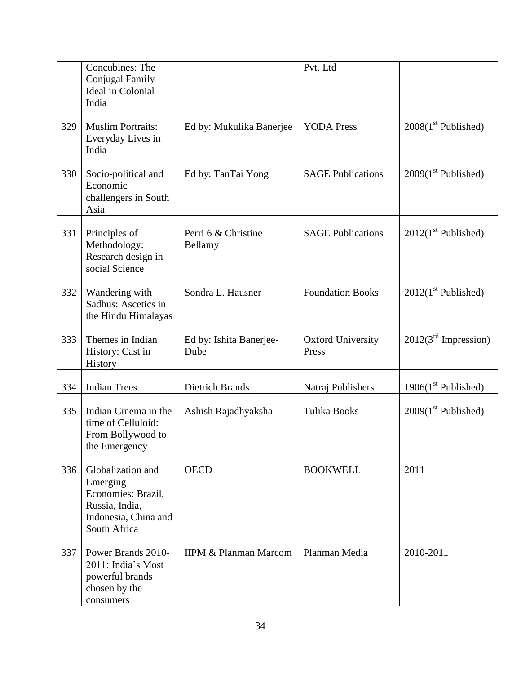|     | Concubines: The<br>Conjugal Family<br><b>Ideal</b> in Colonial<br>India                                       |                                  | Pvt. Ltd                          |                        |
|-----|---------------------------------------------------------------------------------------------------------------|----------------------------------|-----------------------------------|------------------------|
| 329 | <b>Muslim Portraits:</b><br>Everyday Lives in<br>India                                                        | Ed by: Mukulika Banerjee         | <b>YODA</b> Press                 | $2008(1st$ Published)  |
| 330 | Socio-political and<br>Economic<br>challengers in South<br>Asia                                               | Ed by: TanTai Yong               | <b>SAGE Publications</b>          | $2009(1st$ Published)  |
| 331 | Principles of<br>Methodology:<br>Research design in<br>social Science                                         | Perri 6 & Christine<br>Bellamy   | <b>SAGE Publications</b>          | $2012(1st$ Published)  |
| 332 | Wandering with<br>Sadhus: Ascetics in<br>the Hindu Himalayas                                                  | Sondra L. Hausner                | <b>Foundation Books</b>           | $2012(1st$ Published)  |
| 333 | Themes in Indian<br>History: Cast in<br>History                                                               | Ed by: Ishita Banerjee-<br>Dube  | <b>Oxford University</b><br>Press | $2012(3rd$ Impression) |
| 334 | <b>Indian Trees</b>                                                                                           | <b>Dietrich Brands</b>           | Natraj Publishers                 | 1906 $(1st$ Published) |
| 335 | Indian Cinema in the<br>time of Celluloid:<br>From Bollywood to<br>the Emergency                              | Ashish Rajadhyaksha              | <b>Tulika Books</b>               | $2009(1st$ Published)  |
| 336 | Globalization and<br>Emerging<br>Economies: Brazil,<br>Russia, India,<br>Indonesia, China and<br>South Africa | <b>OECD</b>                      | <b>BOOKWELL</b>                   | 2011                   |
| 337 | Power Brands 2010-<br>2011: India's Most<br>powerful brands<br>chosen by the<br>consumers                     | <b>IIPM &amp; Planman Marcom</b> | Planman Media                     | 2010-2011              |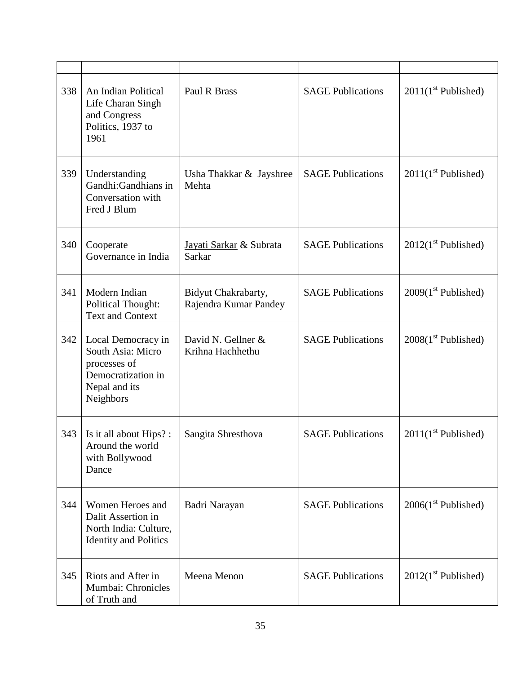| 338 | An Indian Political<br>Life Charan Singh<br>and Congress<br>Politics, 1937 to<br>1961                       | Paul R Brass                                 | <b>SAGE Publications</b> | $2011(1st$ Published) |
|-----|-------------------------------------------------------------------------------------------------------------|----------------------------------------------|--------------------------|-----------------------|
| 339 | Understanding<br>Gandhi:Gandhians in<br>Conversation with<br>Fred J Blum                                    | Usha Thakkar & Jayshree<br>Mehta             | <b>SAGE Publications</b> | $2011(1st$ Published) |
| 340 | Cooperate<br>Governance in India                                                                            | Jayati Sarkar & Subrata<br><b>Sarkar</b>     | <b>SAGE Publications</b> | $2012(1st$ Published) |
| 341 | Modern Indian<br><b>Political Thought:</b><br><b>Text and Context</b>                                       | Bidyut Chakrabarty,<br>Rajendra Kumar Pandey | <b>SAGE Publications</b> | $2009(1st$ Published) |
| 342 | Local Democracy in<br>South Asia: Micro<br>processes of<br>Democratization in<br>Nepal and its<br>Neighbors | David N. Gellner &<br>Krihna Hachhethu       | <b>SAGE Publications</b> | $2008(1st$ Published) |
| 343 | Is it all about Hips? :<br>Around the world<br>with Bollywood<br>Dance                                      | Sangita Shresthova                           | <b>SAGE Publications</b> | $2011(1st$ Published) |
| 344 | Women Heroes and<br>Dalit Assertion in<br>North India: Culture,<br><b>Identity and Politics</b>             | Badri Narayan                                | <b>SAGE Publications</b> | $2006(1st$ Published) |
| 345 | Riots and After in<br>Mumbai: Chronicles<br>of Truth and                                                    | Meena Menon                                  | <b>SAGE Publications</b> | $2012(1st$ Published) |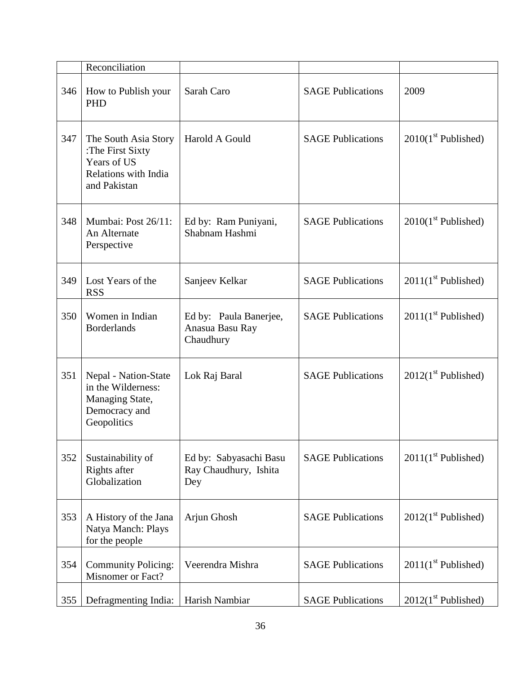|     | Reconciliation                                                                                  |                                                        |                          |                       |
|-----|-------------------------------------------------------------------------------------------------|--------------------------------------------------------|--------------------------|-----------------------|
|     |                                                                                                 |                                                        |                          |                       |
| 346 | How to Publish your<br><b>PHD</b>                                                               | Sarah Caro                                             | <b>SAGE Publications</b> | 2009                  |
| 347 | The South Asia Story<br>:The First Sixty<br>Years of US<br>Relations with India<br>and Pakistan | Harold A Gould                                         | <b>SAGE Publications</b> | $2010(1st$ Published) |
| 348 | Mumbai: Post 26/11:<br>An Alternate<br>Perspective                                              | Ed by: Ram Puniyani,<br>Shabnam Hashmi                 | <b>SAGE Publications</b> | $2010(1st$ Published) |
| 349 | Lost Years of the<br><b>RSS</b>                                                                 | Sanjeev Kelkar                                         | <b>SAGE Publications</b> | $2011(1st$ Published) |
| 350 | Women in Indian<br><b>Borderlands</b>                                                           | Ed by: Paula Banerjee,<br>Anasua Basu Ray<br>Chaudhury | <b>SAGE Publications</b> | $2011(1st$ Published) |
| 351 | Nepal - Nation-State<br>in the Wilderness:<br>Managing State,<br>Democracy and<br>Geopolitics   | Lok Raj Baral                                          | <b>SAGE Publications</b> | $2012(1st$ Published) |
| 352 | Sustainability of<br>Rights after<br>Globalization                                              | Ed by: Sabyasachi Basu<br>Ray Chaudhury, Ishita<br>Dey | <b>SAGE Publications</b> | $2011(1st$ Published) |
| 353 | A History of the Jana<br>Natya Manch: Plays<br>for the people                                   | Arjun Ghosh                                            | <b>SAGE Publications</b> | $2012(1st$ Published) |
| 354 | <b>Community Policing:</b><br>Misnomer or Fact?                                                 | Veerendra Mishra                                       | <b>SAGE Publications</b> | $2011(1st$ Published) |
| 355 | Defragmenting India:                                                                            | Harish Nambiar                                         | <b>SAGE Publications</b> | $2012(1st$ Published) |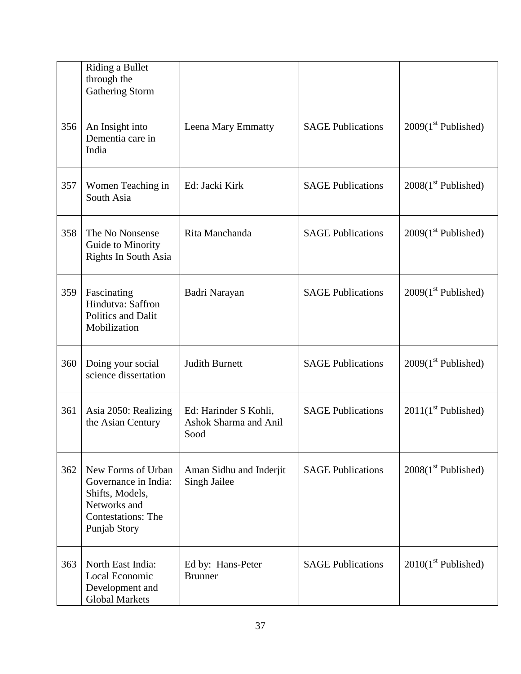|     | Riding a Bullet<br>through the<br><b>Gathering Storm</b>                                                                   |                                                        |                          |                       |
|-----|----------------------------------------------------------------------------------------------------------------------------|--------------------------------------------------------|--------------------------|-----------------------|
| 356 | An Insight into<br>Dementia care in<br>India                                                                               | Leena Mary Emmatty                                     | <b>SAGE Publications</b> | $2009(1st$ Published) |
| 357 | Women Teaching in<br>South Asia                                                                                            | Ed: Jacki Kirk                                         | <b>SAGE Publications</b> | $2008(1st$ Published) |
| 358 | The No Nonsense<br>Guide to Minority<br>Rights In South Asia                                                               | Rita Manchanda                                         | <b>SAGE Publications</b> | $2009(1st$ Published) |
| 359 | Fascinating<br>Hindutva: Saffron<br>Politics and Dalit<br>Mobilization                                                     | Badri Narayan                                          | <b>SAGE Publications</b> | $2009(1st$ Published) |
| 360 | Doing your social<br>science dissertation                                                                                  | <b>Judith Burnett</b>                                  | <b>SAGE Publications</b> | $2009(1st$ Published) |
| 361 | Asia 2050: Realizing<br>the Asian Century                                                                                  | Ed: Harinder S Kohli,<br>Ashok Sharma and Anil<br>Sood | <b>SAGE Publications</b> | $2011(1st$ Published) |
| 362 | New Forms of Urban<br>Governance in India:<br>Shifts, Models,<br>Networks and<br><b>Contestations: The</b><br>Punjab Story | Aman Sidhu and Inderjit<br>Singh Jailee                | <b>SAGE Publications</b> | $2008(1st$ Published) |
| 363 | North East India:<br>Local Economic<br>Development and<br><b>Global Markets</b>                                            | Ed by: Hans-Peter<br><b>Brunner</b>                    | <b>SAGE Publications</b> | $2010(1st$ Published) |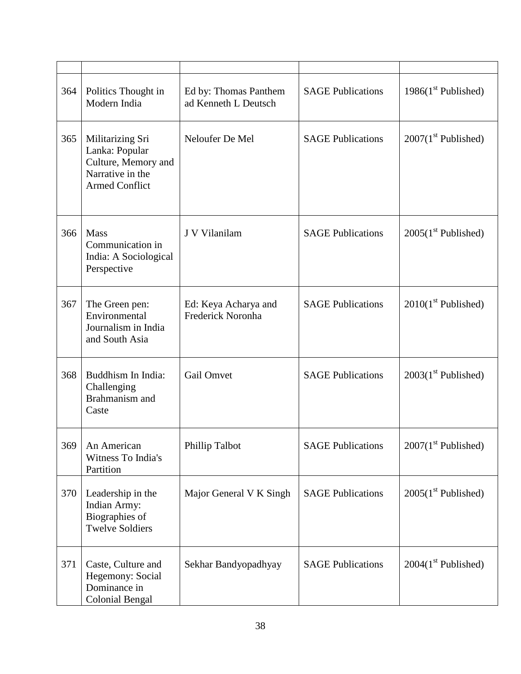| 364 | Politics Thought in<br>Modern India                                                                    | Ed by: Thomas Panthem<br>ad Kenneth L Deutsch | <b>SAGE Publications</b> | 1986 $(1st$ Published) |
|-----|--------------------------------------------------------------------------------------------------------|-----------------------------------------------|--------------------------|------------------------|
| 365 | Militarizing Sri<br>Lanka: Popular<br>Culture, Memory and<br>Narrative in the<br><b>Armed Conflict</b> | Neloufer De Mel                               | <b>SAGE Publications</b> | $2007(1st$ Published)  |
| 366 | <b>Mass</b><br>Communication in<br>India: A Sociological<br>Perspective                                | J V Vilanilam                                 | <b>SAGE Publications</b> | $2005(1st$ Published)  |
| 367 | The Green pen:<br>Environmental<br>Journalism in India<br>and South Asia                               | Ed: Keya Acharya and<br>Frederick Noronha     | <b>SAGE Publications</b> | $2010(1st$ Published)  |
| 368 | Buddhism In India:<br>Challenging<br>Brahmanism and<br>Caste                                           | Gail Omvet                                    | <b>SAGE Publications</b> | $2003(1st$ Published)  |
| 369 | An American<br>Witness To India's<br>Partition                                                         | Phillip Talbot                                | <b>SAGE Publications</b> | $2007(1st$ Published)  |
| 370 | Leadership in the<br>Indian Army:<br>Biographies of<br><b>Twelve Soldiers</b>                          | Major General V K Singh                       | <b>SAGE Publications</b> | $2005(1st$ Published)  |
| 371 | Caste, Culture and<br>Hegemony: Social<br>Dominance in<br><b>Colonial Bengal</b>                       | Sekhar Bandyopadhyay                          | <b>SAGE Publications</b> | $2004(1st$ Published)  |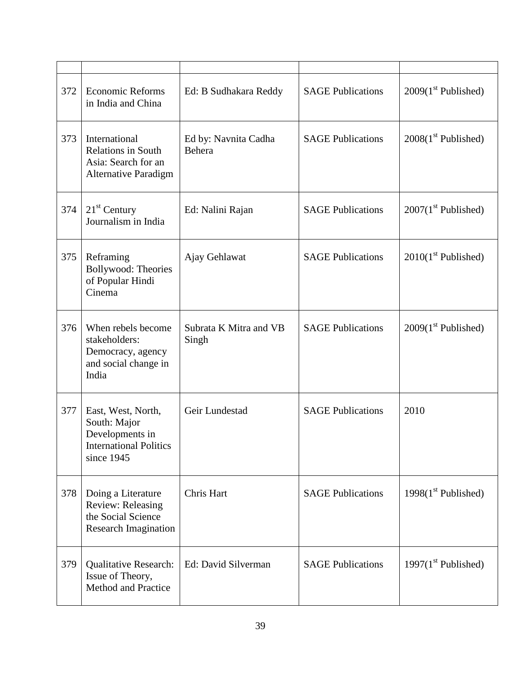| 372 | <b>Economic Reforms</b><br>in India and China                                                        | Ed: B Sudhakara Reddy           | <b>SAGE Publications</b> | $2009(1st$ Published)  |
|-----|------------------------------------------------------------------------------------------------------|---------------------------------|--------------------------|------------------------|
| 373 | International<br><b>Relations in South</b><br>Asia: Search for an<br><b>Alternative Paradigm</b>     | Ed by: Navnita Cadha<br>Behera  | <b>SAGE Publications</b> | $2008(1st$ Published)  |
| 374 | $21st$ Century<br>Journalism in India                                                                | Ed: Nalini Rajan                | <b>SAGE Publications</b> | $2007(1st$ Published)  |
| 375 | Reframing<br><b>Bollywood: Theories</b><br>of Popular Hindi<br>Cinema                                | Ajay Gehlawat                   | <b>SAGE Publications</b> | $2010(1st$ Published)  |
| 376 | When rebels become<br>stakeholders:<br>Democracy, agency<br>and social change in<br>India            | Subrata K Mitra and VB<br>Singh | <b>SAGE Publications</b> | $2009(1st$ Published)  |
| 377 | East, West, North,<br>South: Major<br>Developments in<br><b>International Politics</b><br>since 1945 | Geir Lundestad                  | <b>SAGE Publications</b> | 2010                   |
| 378 | Doing a Literature<br>Review: Releasing<br>the Social Science<br><b>Research Imagination</b>         | Chris Hart                      | <b>SAGE Publications</b> | 1998 $(1st$ Published) |
| 379 | <b>Qualitative Research:</b><br>Issue of Theory,<br><b>Method and Practice</b>                       | Ed: David Silverman             | <b>SAGE Publications</b> | 1997 $(1st$ Published) |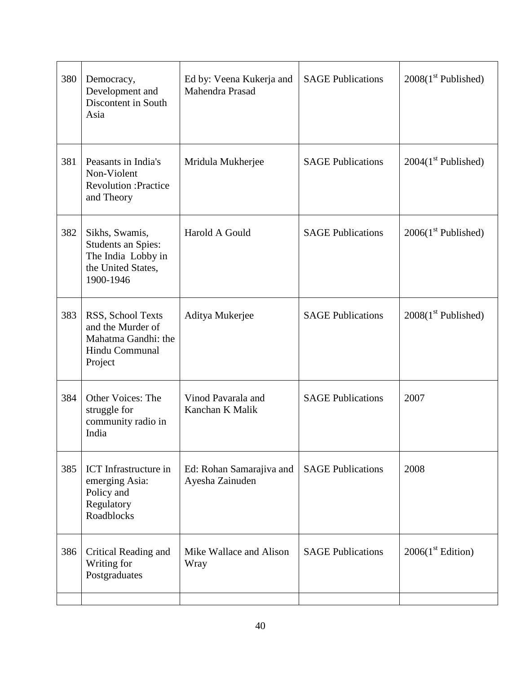| 380 | Democracy,<br>Development and<br>Discontent in South<br>Asia                                    | Ed by: Veena Kukerja and<br>Mahendra Prasad | <b>SAGE Publications</b> | $2008(1st$ Published)         |
|-----|-------------------------------------------------------------------------------------------------|---------------------------------------------|--------------------------|-------------------------------|
| 381 | Peasants in India's<br>Non-Violent<br><b>Revolution: Practice</b><br>and Theory                 | Mridula Mukherjee                           | <b>SAGE Publications</b> | $2004(1st$ Published)         |
| 382 | Sikhs, Swamis,<br>Students an Spies:<br>The India Lobby in<br>the United States,<br>1900-1946   | Harold A Gould                              | <b>SAGE Publications</b> | $2006(1st$ Published)         |
| 383 | RSS, School Texts<br>and the Murder of<br>Mahatma Gandhi: the<br>Hindu Communal<br>Project      | Aditya Mukerjee                             | <b>SAGE Publications</b> | $2008(1st$ Published)         |
| 384 | <b>Other Voices: The</b><br>struggle for<br>community radio in<br>India                         | Vinod Pavarala and<br>Kanchan K Malik       | <b>SAGE Publications</b> | 2007                          |
| 385 | <b>ICT</b> Infrastructure in<br>emerging Asia:<br>Policy and<br>Regulatory<br><b>Roadblocks</b> | Ed: Rohan Samarajiva and<br>Ayesha Zainuden | <b>SAGE Publications</b> | 2008                          |
| 386 | Critical Reading and<br>Writing for<br>Postgraduates                                            | Mike Wallace and Alison<br>Wray             | <b>SAGE Publications</b> | 2006(1 <sup>st</sup> Edition) |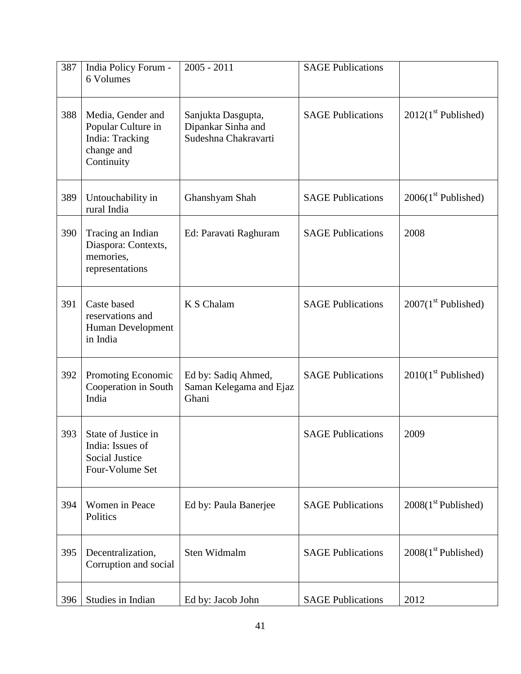| 387 | India Policy Forum -<br>6 Volumes                                                      | $2005 - 2011$                                                    | <b>SAGE Publications</b> |                       |
|-----|----------------------------------------------------------------------------------------|------------------------------------------------------------------|--------------------------|-----------------------|
| 388 | Media, Gender and<br>Popular Culture in<br>India: Tracking<br>change and<br>Continuity | Sanjukta Dasgupta,<br>Dipankar Sinha and<br>Sudeshna Chakravarti | <b>SAGE Publications</b> | $2012(1st$ Published) |
| 389 | Untouchability in<br>rural India                                                       | Ghanshyam Shah                                                   | <b>SAGE Publications</b> | $2006(1st$ Published) |
| 390 | Tracing an Indian<br>Diaspora: Contexts,<br>memories,<br>representations               | Ed: Paravati Raghuram                                            | <b>SAGE Publications</b> | 2008                  |
| 391 | Caste based<br>reservations and<br>Human Development<br>in India                       | K S Chalam                                                       | <b>SAGE Publications</b> | $2007(1st$ Published) |
| 392 | Promoting Economic<br>Cooperation in South<br>India                                    | Ed by: Sadiq Ahmed,<br>Saman Kelegama and Ejaz<br>Ghani          | <b>SAGE Publications</b> | $2010(1st$ Published) |
| 393 | State of Justice in<br>India: Issues of<br><b>Social Justice</b><br>Four-Volume Set    |                                                                  | <b>SAGE Publications</b> | 2009                  |
| 394 | Women in Peace<br>Politics                                                             | Ed by: Paula Banerjee                                            | <b>SAGE Publications</b> | $2008(1st$ Published) |
| 395 | Decentralization,<br>Corruption and social                                             | Sten Widmalm                                                     | <b>SAGE Publications</b> | $2008(1st$ Published) |
| 396 | Studies in Indian                                                                      | Ed by: Jacob John                                                | <b>SAGE Publications</b> | 2012                  |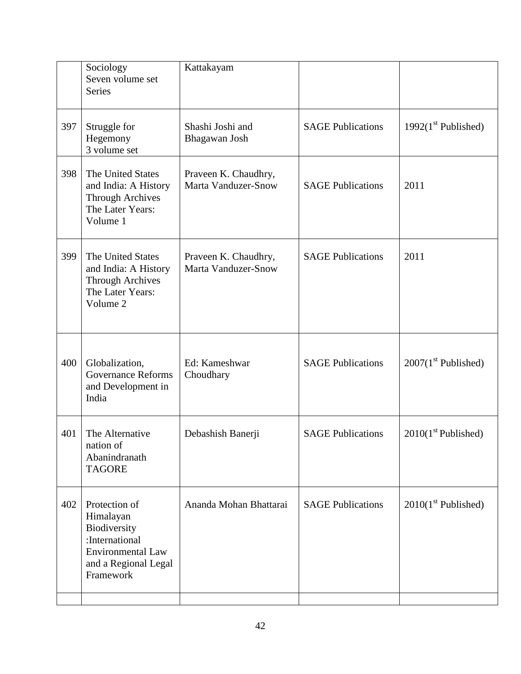|     | Sociology<br>Seven volume set<br><b>Series</b>                                                                                | Kattakayam                                         |                          |                       |
|-----|-------------------------------------------------------------------------------------------------------------------------------|----------------------------------------------------|--------------------------|-----------------------|
| 397 | Struggle for<br>Hegemony<br>3 volume set                                                                                      | Shashi Joshi and<br>Bhagawan Josh                  | <b>SAGE Publications</b> | $1992(1st$ Published) |
| 398 | The United States<br>and India: A History<br><b>Through Archives</b><br>The Later Years:<br>Volume 1                          | Praveen K. Chaudhry,<br><b>Marta Vanduzer-Snow</b> | <b>SAGE Publications</b> | 2011                  |
| 399 | The United States<br>and India: A History<br><b>Through Archives</b><br>The Later Years:<br>Volume 2                          | Praveen K. Chaudhry,<br><b>Marta Vanduzer-Snow</b> | <b>SAGE Publications</b> | 2011                  |
| 400 | Globalization,<br><b>Governance Reforms</b><br>and Development in<br>India                                                    | Ed: Kameshwar<br>Choudhary                         | <b>SAGE Publications</b> | $2007(1st$ Published) |
| 401 | The Alternative<br>nation of<br>Abanindranath<br><b>TAGORE</b>                                                                | Debashish Banerji                                  | <b>SAGE Publications</b> | $2010(1st$ Published) |
| 402 | Protection of<br>Himalayan<br>Biodiversity<br>:International<br><b>Environmental Law</b><br>and a Regional Legal<br>Framework | Ananda Mohan Bhattarai                             | <b>SAGE Publications</b> | $2010(1st$ Published) |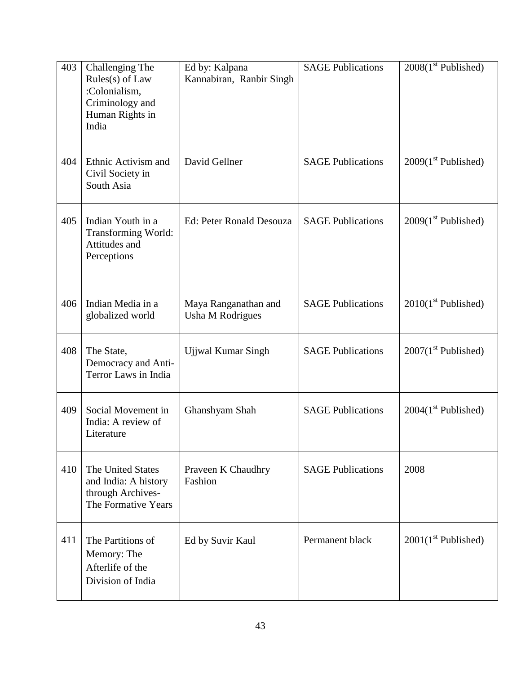| 403 | Challenging The<br>Rules(s) of Law<br>:Colonialism,<br>Criminology and<br>Human Rights in<br>India | Ed by: Kalpana<br>Kannabiran, Ranbir Singh | <b>SAGE Publications</b> | $2008(1st$ Published) |
|-----|----------------------------------------------------------------------------------------------------|--------------------------------------------|--------------------------|-----------------------|
| 404 | Ethnic Activism and<br>Civil Society in<br>South Asia                                              | David Gellner                              | <b>SAGE Publications</b> | $2009(1st$ Published) |
| 405 | Indian Youth in a<br>Transforming World:<br>Attitudes and<br>Perceptions                           | Ed: Peter Ronald Desouza                   | <b>SAGE Publications</b> | $2009(1st$ Published) |
| 406 | Indian Media in a<br>globalized world                                                              | Maya Ranganathan and<br>Usha M Rodrigues   | <b>SAGE Publications</b> | $2010(1st$ Published) |
| 408 | The State,<br>Democracy and Anti-<br>Terror Laws in India                                          | Ujjwal Kumar Singh                         | <b>SAGE Publications</b> | $2007(1st$ Published) |
| 409 | Social Movement in<br>India: A review of<br>Literature                                             | Ghanshyam Shah                             | <b>SAGE Publications</b> | $2004(1st$ Published) |
| 410 | <b>The United States</b><br>and India: A history<br>through Archives-<br>The Formative Years       | Praveen K Chaudhry<br>Fashion              | <b>SAGE Publications</b> | 2008                  |
| 411 | The Partitions of<br>Memory: The<br>Afterlife of the<br>Division of India                          | Ed by Suvir Kaul                           | Permanent black          | $2001(1st$ Published) |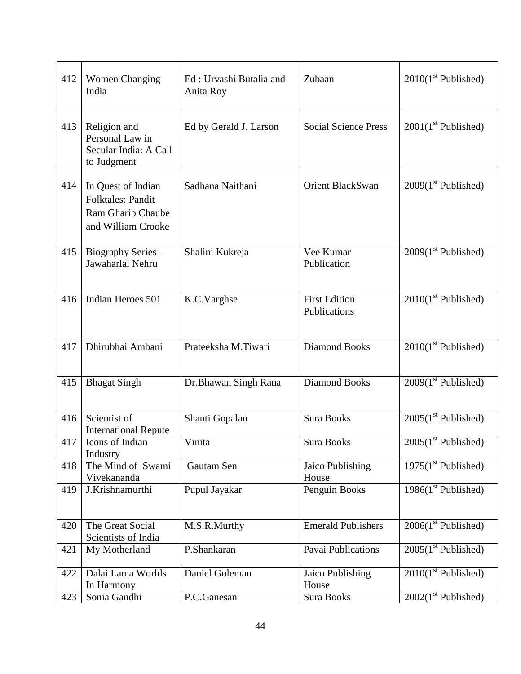| 412 | <b>Women Changing</b><br>India                                                            | Ed: Urvashi Butalia and<br>Anita Roy | Zubaan                               | $2010(1st$ Published)  |
|-----|-------------------------------------------------------------------------------------------|--------------------------------------|--------------------------------------|------------------------|
| 413 | Religion and<br>Personal Law in<br>Secular India: A Call<br>to Judgment                   | Ed by Gerald J. Larson               | <b>Social Science Press</b>          | $2001(1st$ Published)  |
| 414 | In Quest of Indian<br><b>Folktales: Pandit</b><br>Ram Gharib Chaube<br>and William Crooke | Sadhana Naithani                     | <b>Orient BlackSwan</b>              | $2009(1st$ Published)  |
| 415 | Biography Series -<br>Jawaharlal Nehru                                                    | Shalini Kukreja                      | Vee Kumar<br>Publication             | $2009(1st$ Published)  |
| 416 | Indian Heroes 501                                                                         | K.C.Varghse                          | <b>First Edition</b><br>Publications | $2010(1st$ Published)  |
| 417 | Dhirubhai Ambani                                                                          | Prateeksha M.Tiwari                  | <b>Diamond Books</b>                 | $2010(1st$ Published)  |
| 415 | <b>Bhagat Singh</b>                                                                       | Dr.Bhawan Singh Rana                 | <b>Diamond Books</b>                 | $2009(1st$ Published)  |
| 416 | Scientist of<br><b>International Repute</b>                                               | Shanti Gopalan                       | <b>Sura Books</b>                    | $2005(1st$ Published)  |
| 417 | Icons of Indian<br>Industry                                                               | Vinita                               | Sura Books                           | $2005(1st$ Published)  |
| 418 | The Mind of Swami<br>Vivekananda                                                          | Gautam Sen                           | Jaico Publishing<br>House            | $1975(1st$ Published)  |
| 419 | J.Krishnamurthi                                                                           | Pupul Jayakar                        | Penguin Books                        | 1986 $(1st$ Published) |
| 420 | The Great Social<br>Scientists of India                                                   | M.S.R.Murthy                         | <b>Emerald Publishers</b>            | $2006(1st$ Published)  |
| 421 | My Motherland                                                                             | P.Shankaran                          | Pavai Publications                   | $2005(1st$ Published)  |
| 422 | Dalai Lama Worlds<br>In Harmony                                                           | Daniel Goleman                       | Jaico Publishing<br>House            | $2010(1st$ Published)  |
| 423 | Sonia Gandhi                                                                              | P.C.Ganesan                          | Sura Books                           | $2002(1st$ Published)  |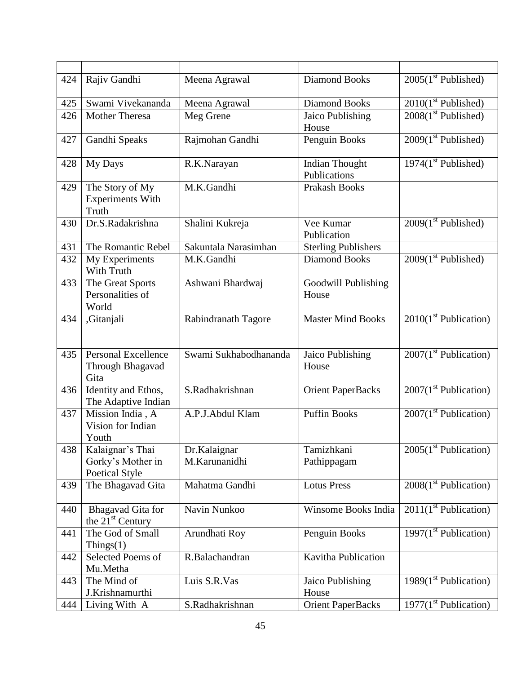| 424 | Rajiv Gandhi                                            | Meena Agrawal                 | <b>Diamond Books</b>                  | $2005(1st$ Published)    |
|-----|---------------------------------------------------------|-------------------------------|---------------------------------------|--------------------------|
| 425 | Swami Vivekananda                                       | Meena Agrawal                 | <b>Diamond Books</b>                  | $2010(1st$ Published)    |
| 426 | <b>Mother Theresa</b>                                   | Meg Grene                     | Jaico Publishing<br>House             | $2008(1st$ Published)    |
| 427 | Gandhi Speaks                                           | Rajmohan Gandhi               | Penguin Books                         | $2009(1st$ Published)    |
| 428 | My Days                                                 | R.K.Narayan                   | <b>Indian Thought</b><br>Publications | $1974(1st$ Published)    |
| 429 | The Story of My<br><b>Experiments With</b><br>Truth     | M.K.Gandhi                    | <b>Prakash Books</b>                  |                          |
| 430 | Dr.S.Radakrishna                                        | Shalini Kukreja               | Vee Kumar<br>Publication              | $2009(1st$ Published)    |
| 431 | The Romantic Rebel                                      | Sakuntala Narasimhan          | <b>Sterling Publishers</b>            |                          |
| 432 | My Experiments<br>With Truth                            | M.K.Gandhi                    | <b>Diamond Books</b>                  | $2009(1st$ Published)    |
| 433 | The Great Sports<br>Personalities of<br>World           | Ashwani Bhardwaj              | Goodwill Publishing<br>House          |                          |
| 434 | ,Gitanjali                                              | Rabindranath Tagore           | <b>Master Mind Books</b>              | $2010(1st$ Publication)  |
| 435 | <b>Personal Excellence</b><br>Through Bhagavad<br>Gita  | Swami Sukhabodhananda         | Jaico Publishing<br>House             | $2007(1st$ Publication)  |
| 436 | Identity and Ethos,<br>The Adaptive Indian              | S.Radhakrishnan               | <b>Orient PaperBacks</b>              | $2007(1st$ Publication)  |
| 437 | Mission India, A<br>Vision for Indian<br>Youth          | A.P.J.Abdul Klam              | <b>Puffin Books</b>                   | $2007(1st$ Publication)  |
| 438 | Kalaignar's Thai<br>Gorky's Mother in<br>Poetical Style | Dr.Kalaignar<br>M.Karunanidhi | Tamizhkani<br>Pathippagam             | $2005(1st$ Publication)  |
| 439 | The Bhagavad Gita                                       | Mahatma Gandhi                | <b>Lotus Press</b>                    | $2008(1st$ Publication)  |
| 440 | Bhagavad Gita for<br>the $21st$ Century                 | Navin Nunkoo                  | Winsome Books India                   | $2011(1st$ Publication)  |
| 441 | The God of Small<br>$\text{Things}(1)$                  | Arundhati Roy                 | Penguin Books                         | 1997 $(1st$ Publication) |
| 442 | Selected Poems of<br>Mu.Metha                           | R.Balachandran                | Kavitha Publication                   |                          |
| 443 | The Mind of<br>J.Krishnamurthi                          | Luis S.R.Vas                  | Jaico Publishing<br>House             | 1989 $(1st$ Publication) |
| 444 | Living With A                                           | S.Radhakrishnan               | <b>Orient PaperBacks</b>              | $1977(1st$ Publication)  |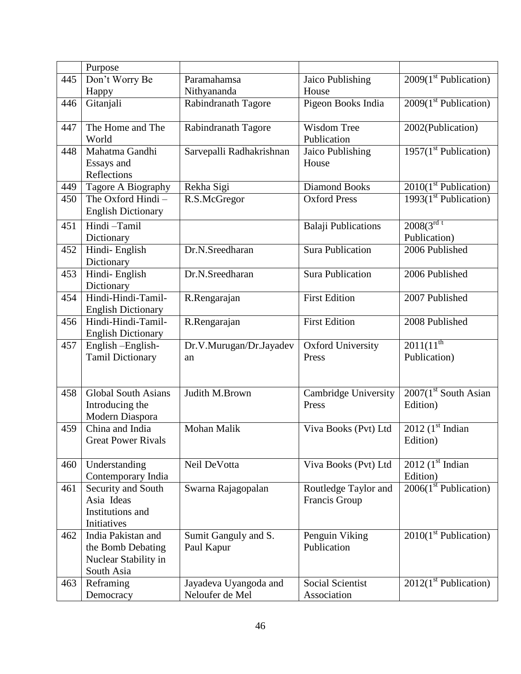|     | Purpose                    |                                          |                                 |                                   |
|-----|----------------------------|------------------------------------------|---------------------------------|-----------------------------------|
| 445 | Don't Worry Be             | Paramahamsa                              | Jaico Publishing                | $2009(1st$ Publication)           |
|     | Happy                      | Nithyananda                              | House                           |                                   |
| 446 | Gitanjali                  | Rabindranath Tagore                      | Pigeon Books India              | $2009(1st$ Publication)           |
|     |                            |                                          |                                 |                                   |
| 447 | The Home and The           | Rabindranath Tagore                      | Wisdom Tree                     | 2002(Publication)                 |
|     | World                      |                                          | Publication                     |                                   |
| 448 | Mahatma Gandhi             | Sarvepalli Radhakrishnan                 | Jaico Publishing                | $1957(1st$ Publication)           |
|     | Essays and                 |                                          | House                           |                                   |
|     | Reflections                |                                          |                                 |                                   |
| 449 | Tagore A Biography         | Rekha Sigi                               | <b>Diamond Books</b>            | $2010(1st$ Publication)           |
| 450 | The Oxford Hindi-          | R.S.McGregor                             | <b>Oxford Press</b>             | 1993 $(1st$ Publication)          |
|     | <b>English Dictionary</b>  |                                          |                                 |                                   |
| 451 | Hindi-Tamil                |                                          | <b>Balaji Publications</b>      | $2008(3^{rdt}$                    |
|     | Dictionary                 |                                          |                                 | Publication)                      |
| 452 | Hindi-English              | Dr.N.Sreedharan                          | <b>Sura Publication</b>         | 2006 Published                    |
|     | Dictionary                 |                                          |                                 |                                   |
| 453 | Hindi-English              | Dr.N.Sreedharan                          | <b>Sura Publication</b>         | 2006 Published                    |
|     | Dictionary                 |                                          |                                 |                                   |
| 454 | Hindi-Hindi-Tamil-         | R.Rengarajan                             | <b>First Edition</b>            | 2007 Published                    |
|     | <b>English Dictionary</b>  |                                          |                                 |                                   |
| 456 | Hindi-Hindi-Tamil-         | R.Rengarajan                             | <b>First Edition</b>            | 2008 Published                    |
|     | <b>English Dictionary</b>  |                                          |                                 |                                   |
| 457 | English-English-           | Dr.V.Murugan/Dr.Jayadev                  | Oxford University               | $2011(11^{th}$                    |
|     | <b>Tamil Dictionary</b>    | an                                       | Press                           | Publication)                      |
|     |                            |                                          |                                 |                                   |
|     |                            |                                          |                                 |                                   |
| 458 | <b>Global South Asians</b> | Judith M.Brown                           | <b>Cambridge University</b>     | 2007(1 <sup>st</sup> South Asian) |
|     | Introducing the            |                                          | Press                           | Edition)                          |
|     | Modern Diaspora            |                                          |                                 |                                   |
| 459 | China and India            | <b>Mohan Malik</b>                       | Viva Books (Pvt) Ltd            | 2012 $(1st Indian)$               |
|     | <b>Great Power Rivals</b>  |                                          |                                 | Edition)                          |
|     |                            |                                          |                                 |                                   |
| 460 | Understanding              | Neil DeVotta                             | Viva Books (Pvt) Ltd            | 2012 $(1st Indian)$               |
|     | Contemporary India         |                                          |                                 | Edition)                          |
| 461 | Security and South         | Swarna Rajagopalan                       | Routledge Taylor and            | $2006(1st$ Publication)           |
|     | Asia Ideas                 |                                          | Francis Group                   |                                   |
|     | Institutions and           |                                          |                                 |                                   |
|     | Initiatives                |                                          |                                 |                                   |
| 462 | India Pakistan and         | Sumit Ganguly and S.                     | Penguin Viking                  | $2010(1st$ Publication)           |
|     | the Bomb Debating          | Paul Kapur                               | Publication                     |                                   |
|     | Nuclear Stability in       |                                          |                                 |                                   |
|     | South Asia                 |                                          |                                 |                                   |
| 463 | Reframing                  | Jayadeva Uyangoda and<br>Neloufer de Mel | Social Scientist<br>Association | $2012(1st$ Publication)           |
|     | Democracy                  |                                          |                                 |                                   |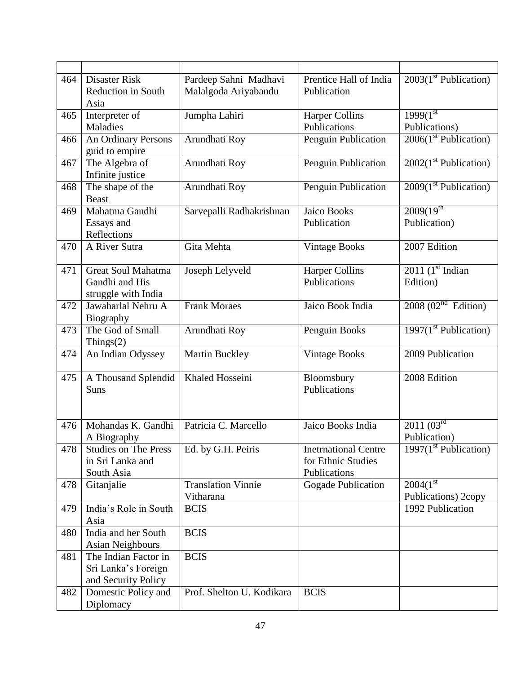| 464 | Disaster Risk               | Pardeep Sahni Madhavi     | Prentice Hall of India      | $2003(1st$ Publication)         |
|-----|-----------------------------|---------------------------|-----------------------------|---------------------------------|
|     | <b>Reduction in South</b>   | Malalgoda Ariyabandu      | Publication                 |                                 |
|     | Asia                        |                           |                             |                                 |
| 465 | Interpreter of              | Jumpha Lahiri             | <b>Harper Collins</b>       | $1999(1^{st}$                   |
|     | Maladies                    |                           | Publications                | Publications)                   |
| 466 | An Ordinary Persons         | Arundhati Roy             | Penguin Publication         | $2006(1st$ Publication)         |
|     | guid to empire              |                           |                             |                                 |
| 467 | The Algebra of              | Arundhati Roy             | Penguin Publication         | $2002(1st$ Publication)         |
|     | Infinite justice            |                           |                             |                                 |
| 468 | The shape of the            | Arundhati Roy             | Penguin Publication         | $2009(1st$ Publication)         |
|     | <b>Beast</b>                |                           |                             |                                 |
| 469 | Mahatma Gandhi              | Sarvepalli Radhakrishnan  | Jaico Books                 | $2009(19^{th}$                  |
|     | Essays and                  |                           | Publication                 | Publication)                    |
|     | Reflections                 |                           |                             |                                 |
| 470 | A River Sutra               | Gita Mehta                | <b>Vintage Books</b>        | 2007 Edition                    |
|     |                             |                           |                             |                                 |
| 471 | <b>Great Soul Mahatma</b>   | Joseph Lelyveld           | <b>Harper Collins</b>       | $2011$ (1 <sup>st</sup> Indian  |
|     | Gandhi and His              |                           | Publications                | Edition)                        |
|     | struggle with India         |                           |                             |                                 |
| 472 | Jawaharlal Nehru A          | <b>Frank Moraes</b>       | Jaico Book India            | 2008 (02 <sup>nd</sup> Edition) |
|     | Biography                   |                           |                             |                                 |
| 473 | The God of Small            | Arundhati Roy             | Penguin Books               | 1997 $(1st$ Publication)        |
|     | Things $(2)$                |                           |                             |                                 |
| 474 | An Indian Odyssey           | Martin Buckley            | <b>Vintage Books</b>        | 2009 Publication                |
|     |                             |                           |                             |                                 |
| 475 | A Thousand Splendid         | Khaled Hosseini           | Bloomsbury                  | 2008 Edition                    |
|     | Suns                        |                           | Publications                |                                 |
|     |                             |                           |                             |                                 |
|     |                             |                           |                             |                                 |
| 476 | Mohandas K. Gandhi          | Patricia C. Marcello      | Jaico Books India           | $2011 \overline{(03^{rd}}$      |
|     | A Biography                 |                           |                             | Publication)                    |
| 478 | <b>Studies on The Press</b> | Ed. by G.H. Peiris        | <b>Inetrnational Centre</b> | 1997 $(1st$ Publication)        |
|     | in Sri Lanka and            |                           | for Ethnic Studies          |                                 |
|     | South Asia                  |                           | Publications                |                                 |
| 478 | Gitanjalie                  | <b>Translation Vinnie</b> | Gogade Publication          | 2004(1 <sup>st</sup> )          |
|     |                             | Vitharana                 |                             | Publications) 2copy             |
| 479 | India's Role in South       | <b>BCIS</b>               |                             | 1992 Publication                |
|     | Asia                        |                           |                             |                                 |
| 480 | India and her South         | <b>BCIS</b>               |                             |                                 |
|     | Asian Neighbours            |                           |                             |                                 |
| 481 | The Indian Factor in        | <b>BCIS</b>               |                             |                                 |
|     | Sri Lanka's Foreign         |                           |                             |                                 |
|     | and Security Policy         |                           |                             |                                 |
| 482 | Domestic Policy and         | Prof. Shelton U. Kodikara | <b>BCIS</b>                 |                                 |
|     | Diplomacy                   |                           |                             |                                 |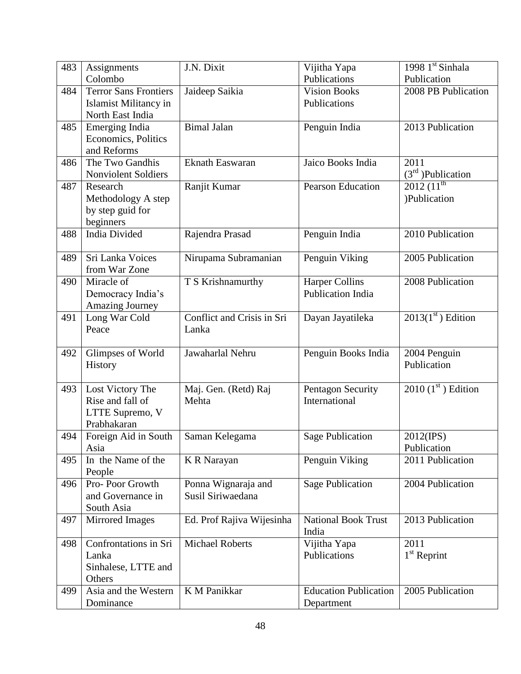| 483 | Assignments                   | J.N. Dixit                 | Vijitha Yapa                 | 1998 1 <sup>st</sup> Sinhala |
|-----|-------------------------------|----------------------------|------------------------------|------------------------------|
|     | Colombo                       |                            | Publications                 | Publication                  |
| 484 | <b>Terror Sans Frontiers</b>  | Jaideep Saikia             | <b>Vision Books</b>          | 2008 PB Publication          |
|     | Islamist Militancy in         |                            | Publications                 |                              |
|     | North East India              |                            |                              |                              |
| 485 | Emerging India                | <b>Bimal Jalan</b>         | Penguin India                | 2013 Publication             |
|     | Economics, Politics           |                            |                              |                              |
|     | and Reforms                   |                            |                              |                              |
| 486 | The Two Gandhis               | Eknath Easwaran            | Jaico Books India            | 2011                         |
|     | Nonviolent Soldiers           |                            |                              | $(3rd)$ Publication          |
| 487 | Research                      | Ranjit Kumar               | <b>Pearson Education</b>     | $2012(11^{th}$               |
|     | Methodology A step            |                            |                              | )Publication                 |
|     | by step guid for              |                            |                              |                              |
|     | beginners                     |                            |                              |                              |
| 488 | <b>India Divided</b>          | Rajendra Prasad            | Penguin India                | 2010 Publication             |
|     |                               |                            |                              |                              |
| 489 | Sri Lanka Voices              | Nirupama Subramanian       | Penguin Viking               | 2005 Publication             |
|     | from War Zone                 |                            |                              |                              |
| 490 | Miracle of                    | T S Krishnamurthy          | <b>Harper Collins</b>        | 2008 Publication             |
|     | Democracy India's             |                            | <b>Publication India</b>     |                              |
|     | <b>Amazing Journey</b>        |                            |                              |                              |
| 491 | Long War Cold                 | Conflict and Crisis in Sri | Dayan Jayatileka             | $2013(1st)$ Edition          |
|     | Peace                         | Lanka                      |                              |                              |
|     |                               |                            |                              |                              |
| 492 | Glimpses of World             | Jawaharlal Nehru           | Penguin Books India          | 2004 Penguin                 |
|     | History                       |                            |                              | Publication                  |
|     |                               |                            |                              |                              |
| 493 | Lost Victory The              | Maj. Gen. (Retd) Raj       | Pentagon Security            | $2010$ (1st) Edition         |
|     | Rise and fall of              | Mehta                      | International                |                              |
|     | LTTE Supremo, V               |                            |                              |                              |
|     | Prabhakaran                   |                            |                              |                              |
| 494 | Foreign Aid in South          | Saman Kelegama             | <b>Sage Publication</b>      | 2012(IPS)                    |
|     | Asia                          |                            |                              | Publication                  |
| 495 | In the Name of the            | <b>K R Narayan</b>         | Penguin Viking               | 2011 Publication             |
|     | People                        |                            |                              |                              |
| 496 | Pro-Poor Growth               | Ponna Wignaraja and        | <b>Sage Publication</b>      | 2004 Publication             |
|     | and Governance in             | Susil Siriwaedana          |                              |                              |
|     | South Asia                    |                            |                              |                              |
| 497 | Mirrored Images               | Ed. Prof Rajiva Wijesinha  | <b>National Book Trust</b>   | 2013 Publication             |
|     |                               |                            |                              |                              |
|     |                               |                            | India                        |                              |
| 498 | Confrontations in Sri         | <b>Michael Roberts</b>     |                              | 2011                         |
|     | Lanka                         |                            | Vijitha Yapa<br>Publications |                              |
|     |                               |                            |                              | $1^{\rm st}$ Reprint         |
|     | Sinhalese, LTTE and<br>Others |                            |                              |                              |
| 499 | Asia and the Western          | K M Panikkar               | <b>Education Publication</b> | 2005 Publication             |